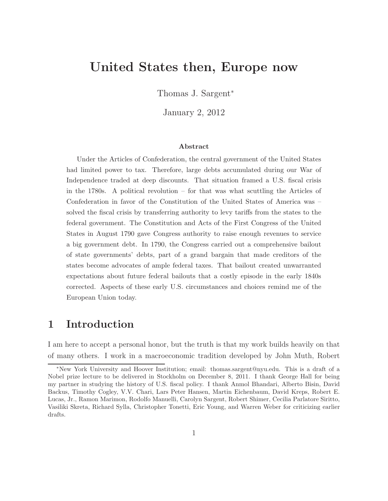# **United States then, Europe now**

Thomas J. Sargent<sup>∗</sup>

January 2, 2012

#### **Abstract**

Under the Articles of Confederation, the central government of the United States had limited power to tax. Therefore, large debts accumulated during our War of Independence traded at deep discounts. That situation framed a U.S. fiscal crisis in the 1780s. A political revolution – for that was what scuttling the Articles of Confederation in favor of the Constitution of the United States of America was – solved the fiscal crisis by transferring authority to levy tariffs from the states to the federal government. The Constitution and Acts of the First Congress of the United States in August 1790 gave Congress authority to raise enough revenues to service a big government debt. In 1790, the Congress carried out a comprehensive bailout of state governments' debts, part of a grand bargain that made creditors of the states become advocates of ample federal taxes. That bailout created unwarranted expectations about future federal bailouts that a costly episode in the early 1840s corrected. Aspects of these early U.S. circumstances and choices remind me of the European Union today.

### **1 Introduction**

I am here to accept a personal honor, but the truth is that my work builds heavily on that of many others. I work in a macroeconomic tradition developed by John Muth, Robert

<sup>∗</sup>New York University and Hoover Institution; email: thomas.sargent@nyu.edu. This is a draft of a Nobel prize lecture to be delivered in Stockholm on December 8, 2011. I thank George Hall for being my partner in studying the history of U.S. fiscal policy. I thank Anmol Bhandari, Alberto Bisin, David Backus, Timothy Cogley, V.V. Chari, Lars Peter Hansen, Martin Eichenbaum, David Kreps, Robert E. Lucas, Jr., Ramon Marimon, Rodolfo Manuelli, Carolyn Sargent, Robert Shimer, Cecilia Parlatore Siritto, Vasiliki Skreta, Richard Sylla, Christopher Tonetti, Eric Young, and Warren Weber for criticizing earlier drafts.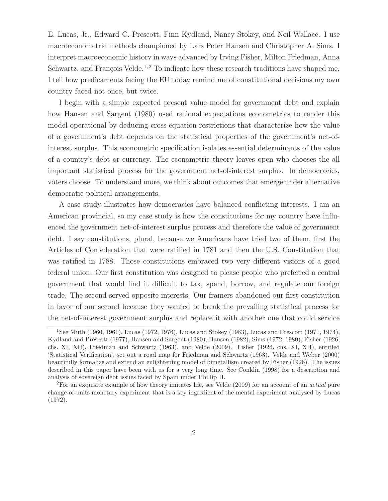E. Lucas, Jr., Edward C. Prescott, Finn Kydland, Nancy Stokey, and Neil Wallace. I use macroeconometric methods championed by Lars Peter Hansen and Christopher A. Sims. I interpret macroeconomic history in ways advanced by Irving Fisher, Milton Friedman, Anna Schwartz, and François Velde.<sup>1,2</sup> To indicate how these research traditions have shaped me, I tell how predicaments facing the EU today remind me of constitutional decisions my own country faced not once, but twice.

I begin with a simple expected present value model for government debt and explain how Hansen and Sargent (1980) used rational expectations econometrics to render this model operational by deducing cross-equation restrictions that characterize how the value of a government's debt depends on the statistical properties of the government's net-ofinterest surplus. This econometric specification isolates essential determinants of the value of a country's debt or currency. The econometric theory leaves open who chooses the all important statistical process for the government net-of-interest surplus. In democracies, voters choose. To understand more, we think about outcomes that emerge under alternative democratic political arrangements.

A case study illustrates how democracies have balanced conflicting interests. I am an American provincial, so my case study is how the constitutions for my country have influenced the government net-of-interest surplus process and therefore the value of government debt. I say constitutions, plural, because we Americans have tried two of them, first the Articles of Confederation that were ratified in 1781 and then the U.S. Constitution that was ratified in 1788. Those constitutions embraced two very different visions of a good federal union. Our first constitution was designed to please people who preferred a central government that would find it difficult to tax, spend, borrow, and regulate our foreign trade. The second served opposite interests. Our framers abandoned our first constitution in favor of our second because they wanted to break the prevailing statistical process for the net-of-interest government surplus and replace it with another one that could service

<sup>1</sup>See Muth (1960, 1961), Lucas (1972, 1976), Lucas and Stokey (1983), Lucas and Prescott (1971, 1974), Kydland and Prescott (1977), Hansen and Sargent (1980), Hansen (1982), Sims (1972, 1980), Fisher (1926, chs. XI, XII), Friedman and Schwartz (1963), and Velde (2009). Fisher (1926, chs. XI, XII), entitled 'Statistical Verification', set out a road map for Friedman and Schwartz (1963). Velde and Weber (2000) beautifully formalize and extend an enlightening model of bimetallism created by Fisher (1926). The issues described in this paper have been with us for a very long time. See Conklin (1998) for a description and analysis of sovereign debt issues faced by Spain under Phillip II.

<sup>2</sup>For an exquisite example of how theory imitates life, see Velde (2009) for an account of an *actual* pure change-of-units monetary experiment that is a key ingredient of the mental experiment analyzed by Lucas (1972).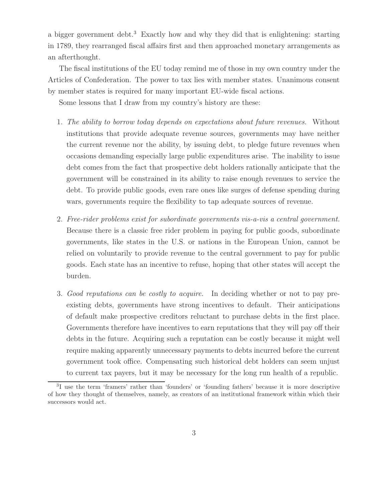a bigger government debt.<sup>3</sup> Exactly how and why they did that is enlightening: starting in 1789, they rearranged fiscal affairs first and then approached monetary arrangements as an afterthought.

The fiscal institutions of the EU today remind me of those in my own country under the Articles of Confederation. The power to tax lies with member states. Unanimous consent by member states is required for many important EU-wide fiscal actions.

Some lessons that I draw from my country's history are these:

- 1. The ability to borrow today depends on expectations about future revenues. Without institutions that provide adequate revenue sources, governments may have neither the current revenue nor the ability, by issuing debt, to pledge future revenues when occasions demanding especially large public expenditures arise. The inability to issue debt comes from the fact that prospective debt holders rationally anticipate that the government will be constrained in its ability to raise enough revenues to service the debt. To provide public goods, even rare ones like surges of defense spending during wars, governments require the flexibility to tap adequate sources of revenue.
- 2. Free-rider problems exist for subordinate governments vis-a-vis a central government. Because there is a classic free rider problem in paying for public goods, subordinate governments, like states in the U.S. or nations in the European Union, cannot be relied on voluntarily to provide revenue to the central government to pay for public goods. Each state has an incentive to refuse, hoping that other states will accept the burden.
- 3. Good reputations can be costly to acquire. In deciding whether or not to pay preexisting debts, governments have strong incentives to default. Their anticipations of default make prospective creditors reluctant to purchase debts in the first place. Governments therefore have incentives to earn reputations that they will pay off their debts in the future. Acquiring such a reputation can be costly because it might well require making apparently unnecessary payments to debts incurred before the current government took office. Compensating such historical debt holders can seem unjust to current tax payers, but it may be necessary for the long run health of a republic.

<sup>3</sup>I use the term 'framers' rather than 'founders' or 'founding fathers' because it is more descriptive of how they thought of themselves, namely, as creators of an institutional framework within which their successors would act.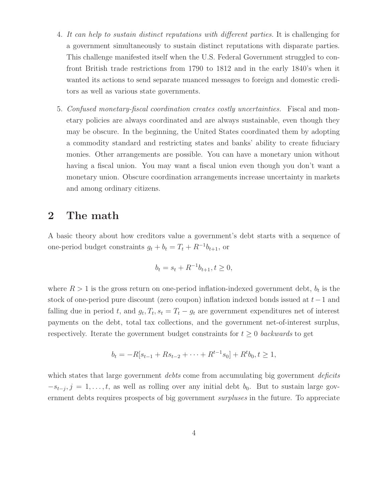- 4. It can help to sustain distinct reputations with different parties. It is challenging for a government simultaneously to sustain distinct reputations with disparate parties. This challenge manifested itself when the U.S. Federal Government struggled to confront British trade restrictions from 1790 to 1812 and in the early 1840's when it wanted its actions to send separate nuanced messages to foreign and domestic creditors as well as various state governments.
- 5. Confused monetary-fiscal coordination creates costly uncertainties. Fiscal and monetary policies are always coordinated and are always sustainable, even though they may be obscure. In the beginning, the United States coordinated them by adopting a commodity standard and restricting states and banks' ability to create fiduciary monies. Other arrangements are possible. You can have a monetary union without having a fiscal union. You may want a fiscal union even though you don't want a monetary union. Obscure coordination arrangements increase uncertainty in markets and among ordinary citizens.

### **2 The math**

A basic theory about how creditors value a government's debt starts with a sequence of one-period budget constraints  $g_t + b_t = T_t + R^{-1}b_{t+1}$ , or

$$
b_t = s_t + R^{-1}b_{t+1}, t \ge 0,
$$

where  $R > 1$  is the gross return on one-period inflation-indexed government debt,  $b_t$  is the stock of one-period pure discount (zero coupon) inflation indexed bonds issued at t−1 and falling due in period t, and  $g_t, T_t, s_t = T_t - g_t$  are government expenditures net of interest payments on the debt, total tax collections, and the government net-of-interest surplus, respectively. Iterate the government budget constraints for  $t \geq 0$  backwards to get

$$
b_t = -R[s_{t-1} + Rs_{t-2} + \cdots + R^{t-1}s_0] + R^t b_0, t \ge 1,
$$

which states that large government *debts* come from accumulating big government *deficits*  $-s_{t-j}, j = 1, \ldots, t$ , as well as rolling over any initial debt  $b_0$ . But to sustain large government debts requires prospects of big government *surpluses* in the future. To appreciate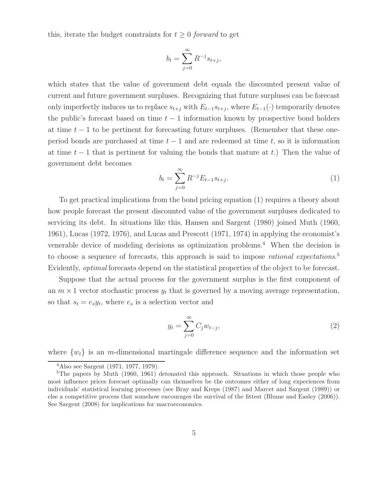this, iterate the budget constraints for  $t \geq 0$  forward to get

$$
b_t = \sum_{j=0}^{\infty} R^{-j} s_{t+j},
$$

which states that the value of government debt equals the discounted present value of current and future government surpluses. Recognizing that future surpluses can be forecast only imperfectly induces us to replace  $s_{t+j}$  with  $E_{t-1}s_{t+j}$ , where  $E_{t-1}(\cdot)$  temporarily denotes the public's forecast based on time  $t - 1$  information known by prospective bond holders at time  $t-1$  to be pertinent for forecasting future surpluses. (Remember that these oneperiod bonds are purchased at time  $t - 1$  and are redeemed at time t, so it is information at time  $t-1$  that is pertinent for valuing the bonds that mature at t.) Then the value of government debt becomes

$$
b_t = \sum_{j=0}^{\infty} R^{-j} E_{t-1} s_{t+j}.
$$
\n(1)

To get practical implications from the bond pricing equation (1) requires a theory about how people forecast the present discounted value of the government surpluses dedicated to servicing its debt. In situations like this, Hansen and Sargent (1980) joined Muth (1960, 1961), Lucas (1972, 1976), and Lucas and Prescott (1971, 1974) in applying the economist's venerable device of modeling decisions as optimization problems.<sup>4</sup> When the decision is to choose a sequence of forecasts, this approach is said to impose *rational expectations*.<sup>5</sup> Evidently, optimal forecasts depend on the statistical properties of the object to be forecast.

Suppose that the actual process for the government surplus is the first component of an  $m \times 1$  vector stochastic process  $y_t$  that is governed by a moving average representation, so that  $s_t = e_s y_t$ , where  $e_s$  is a selection vector and

$$
y_t = \sum_{j=0}^{\infty} C_j w_{t-j},\tag{2}
$$

where  $\{w_t\}$  is an *m*-dimensional martingale difference sequence and the information set

<sup>4</sup>Also see Sargent (1971, 1977, 1979).

<sup>&</sup>lt;sup>5</sup>The papers by Muth (1960, 1961) detonated this approach. Situations in which those people who most influence prices forecast optimally can themselves be the outcomes either of long experiences from individuals' statistical learning processes (see Bray and Kreps (1987) and Marcet and Sargent (1989)) or else a competitive process that somehow encourages the survival of the fittest (Blume and Easley (2006)). See Sargent (2008) for implications for macroeconomics.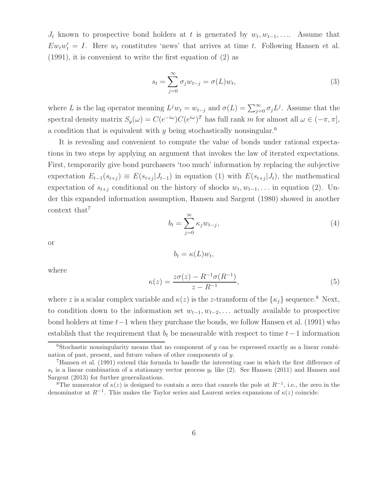$J_t$  known to prospective bond holders at t is generated by  $w_t, w_{t-1}, \ldots$ . Assume that  $Ew_t w'_t = I$ . Here  $w_t$  constitutes 'news' that arrives at time t. Following Hansen et al. (1991), it is convenient to write the first equation of (2) as

$$
s_t = \sum_{j=0}^{\infty} \sigma_j w_{t-j} = \sigma(L) w_t,
$$
\n(3)

where L is the lag operator meaning  $L^j w_t = w_{t-j}$  and  $\sigma(L) = \sum_{j=0}^{\infty} \sigma_j L^j$ . Assume that the spectral density matrix  $S_y(\omega) = C(e^{-i\omega})C(e^{i\omega})^T$  has full rank m for almost all  $\omega \in (-\pi, \pi]$ , a condition that is equivalent with y being stochastically nonsingular.<sup>6</sup>

It is revealing and convenient to compute the value of bonds under rational expectations in two steps by applying an argument that invokes the law of iterated expectations. First, temporarily give bond purchasers 'too much' information by replacing the subjective expectation  $E_{t-1}(s_{t+j}) \equiv E(s_{t+j} | J_{t-1})$  in equation (1) with  $E(s_{t+j} | J_t)$ , the mathematical expectation of  $s_{t+j}$  conditional on the history of shocks  $w_t, w_{t-1}, \ldots$  in equation (2). Under this expanded information assumption, Hansen and Sargent (1980) showed in another context that<sup>7</sup>

$$
b_t = \sum_{j=0}^{\infty} \kappa_j w_{t-j},\tag{4}
$$

or

$$
b_t = \kappa(L) w_t,
$$

where

$$
\kappa(z) = \frac{z\sigma(z) - R^{-1}\sigma(R^{-1})}{z - R^{-1}},
$$
\n(5)

where z is a scalar complex variable and  $\kappa(z)$  is the z-transform of the  $\{\kappa_i\}$  sequence.<sup>8</sup> Next, to condition down to the information set  $w_{t-1}, w_{t-2}, \ldots$  actually available to prospective bond holders at time t−1 when they purchase the bonds, we follow Hansen et al. (1991) who establish that the requirement that  $b_t$  be measurable with respect to time  $t-1$  information

<sup>&</sup>lt;sup>6</sup>Stochastic nonsingularity means that no component of y can be expressed exactly as a linear combination of past, present, and future values of other components of y.

<sup>7</sup>Hansen et al. (1991) extend this formula to handle the interesting case in which the first difference of  $s_t$  is a linear combination of a stationary vector process  $y_t$  like (2). See Hansen (2011) and Hansen and Sargent (2013) for further generalizations.

<sup>&</sup>lt;sup>8</sup>The numerator of  $\kappa(z)$  is designed to contain a zero that cancels the pole at  $R^{-1}$ , i.e., the zero in the denominator at  $R^{-1}$ . This makes the Taylor series and Laurent series expansions of  $\kappa(z)$  coincide.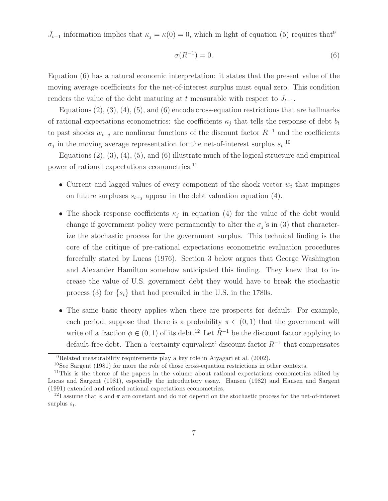$J_{t-1}$  information implies that  $\kappa_j = \kappa(0) = 0$ , which in light of equation (5) requires that<sup>9</sup>

$$
\sigma(R^{-1}) = 0.\tag{6}
$$

Equation (6) has a natural economic interpretation: it states that the present value of the moving average coefficients for the net-of-interest surplus must equal zero. This condition renders the value of the debt maturing at t measurable with respect to  $J_{t-1}$ .

Equations  $(2), (3), (4), (5),$  and  $(6)$  encode cross-equation restrictions that are hallmarks of rational expectations econometrics: the coefficients  $\kappa_i$  that tells the response of debt  $b_t$ to past shocks  $w_{t-j}$  are nonlinear functions of the discount factor  $R^{-1}$  and the coefficients  $\sigma_j$  in the moving average representation for the net-of-interest surplus  $s_t$ .<sup>10</sup>

Equations  $(2)$ ,  $(3)$ ,  $(4)$ ,  $(5)$ , and  $(6)$  illustrate much of the logical structure and empirical power of rational expectations econometrics:<sup>11</sup>

- Current and lagged values of every component of the shock vector  $w_t$  that impinges on future surpluses  $s_{t+j}$  appear in the debt valuation equation (4).
- The shock response coefficients  $\kappa_i$  in equation (4) for the value of the debt would change if government policy were permanently to alter the  $\sigma_j$ 's in (3) that characterize the stochastic process for the government surplus. This technical finding is the core of the critique of pre-rational expectations econometric evaluation procedures forcefully stated by Lucas (1976). Section 3 below argues that George Washington and Alexander Hamilton somehow anticipated this finding. They knew that to increase the value of U.S. government debt they would have to break the stochastic process (3) for  $\{s_t\}$  that had prevailed in the U.S. in the 1780s.
- The same basic theory applies when there are prospects for default. For example, each period, suppose that there is a probability  $\pi \in (0, 1)$  that the government will write off a fraction  $\phi \in (0, 1)$  of its debt.<sup>12</sup> Let  $\tilde{R}^{-1}$  be the discount factor applying to default-free debt. Then a 'certainty equivalent' discount factor  $R^{-1}$  that compensates

<sup>9</sup>Related measurability requirements play a key role in Aiyagari et al. (2002).

<sup>10</sup>See Sargent (1981) for more the role of those cross-equation restrictions in other contexts.

<sup>&</sup>lt;sup>11</sup>This is the theme of the papers in the volume about rational expectations econometrics edited by Lucas and Sargent (1981), especially the introductory essay. Hansen (1982) and Hansen and Sargent (1991) extended and refined rational expectations econometrics.

<sup>&</sup>lt;sup>12</sup>I assume that  $\phi$  and  $\pi$  are constant and do not depend on the stochastic process for the net-of-interest surplus s*t*.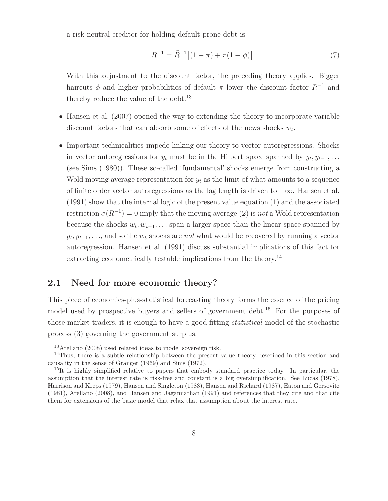a risk-neutral creditor for holding default-prone debt is

$$
R^{-1} = \tilde{R}^{-1} \left[ (1 - \pi) + \pi (1 - \phi) \right]. \tag{7}
$$

With this adjustment to the discount factor, the preceding theory applies. Bigger haircuts  $\phi$  and higher probabilities of default  $\pi$  lower the discount factor  $R^{-1}$  and thereby reduce the value of the debt. $^{13}$ 

- Hansen et al. (2007) opened the way to extending the theory to incorporate variable discount factors that can absorb some of effects of the news shocks  $w_t$ .
- Important technicalities impede linking our theory to vector autoregressions. Shocks in vector autoregressions for  $y_t$  must be in the Hilbert space spanned by  $y_t, y_{t-1}, \ldots$ (see Sims (1980)). These so-called 'fundamental' shocks emerge from constructing a Wold moving average representation for  $y_t$  as the limit of what amounts to a sequence of finite order vector autoregressions as the lag length is driven to  $+\infty$ . Hansen et al. (1991) show that the internal logic of the present value equation (1) and the associated restriction  $\sigma(R^{-1}) = 0$  imply that the moving average (2) is not a Wold representation because the shocks  $w_t, w_{t-1}, \ldots$  span a larger space than the linear space spanned by  $y_t, y_{t-1}, \ldots$ , and so the  $w_t$  shocks are not what would be recovered by running a vector autoregression. Hansen et al. (1991) discuss substantial implications of this fact for extracting econometrically testable implications from the theory.<sup>14</sup>

#### **2.1 Need for more economic theory?**

This piece of economics-plus-statistical forecasting theory forms the essence of the pricing model used by prospective buyers and sellers of government debt.<sup>15</sup> For the purposes of those market traders, it is enough to have a good fitting statistical model of the stochastic process (3) governing the government surplus.

<sup>13</sup>Arellano (2008) used related ideas to model sovereign risk.

<sup>&</sup>lt;sup>14</sup>Thus, there is a subtle relationship between the present value theory described in this section and causality in the sense of Granger (1969) and Sims (1972).

 $15$ It is highly simplified relative to papers that embody standard practice today. In particular, the assumption that the interest rate is risk-free and constant is a big oversimplification. See Lucas (1978), Harrison and Kreps (1979), Hansen and Singleton (1983), Hansen and Richard (1987), Eaton and Gersovitz (1981), Arellano (2008), and Hansen and Jagannathan (1991) and references that they cite and that cite them for extensions of the basic model that relax that assumption about the interest rate.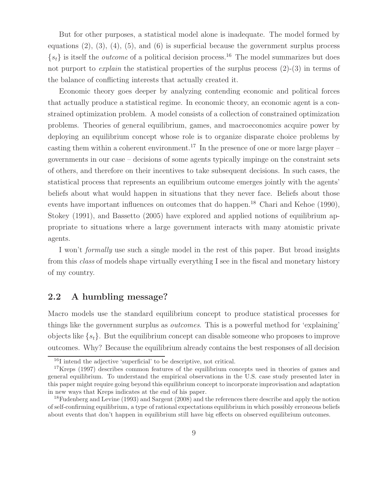But for other purposes, a statistical model alone is inadequate. The model formed by equations  $(2)$ ,  $(3)$ ,  $(4)$ ,  $(5)$ , and  $(6)$  is superficial because the government surplus process  $\{s_t\}$  is itself the *outcome* of a political decision process.<sup>16</sup> The model summarizes but does not purport to *explain* the statistical properties of the surplus process  $(2)-(3)$  in terms of the balance of conflicting interests that actually created it.

Economic theory goes deeper by analyzing contending economic and political forces that actually produce a statistical regime. In economic theory, an economic agent is a constrained optimization problem. A model consists of a collection of constrained optimization problems. Theories of general equilibrium, games, and macroeconomics acquire power by deploying an equilibrium concept whose role is to organize disparate choice problems by casting them within a coherent environment.<sup>17</sup> In the presence of one or more large player – governments in our case – decisions of some agents typically impinge on the constraint sets of others, and therefore on their incentives to take subsequent decisions. In such cases, the statistical process that represents an equilibrium outcome emerges jointly with the agents' beliefs about what would happen in situations that they never face. Beliefs about those events have important influences on outcomes that do happen.<sup>18</sup> Chari and Kehoe (1990), Stokey (1991), and Bassetto (2005) have explored and applied notions of equilibrium appropriate to situations where a large government interacts with many atomistic private agents.

I won't formally use such a single model in the rest of this paper. But broad insights from this class of models shape virtually everything I see in the fiscal and monetary history of my country.

### **2.2 A humbling message?**

Macro models use the standard equilibrium concept to produce statistical processes for things like the government surplus as outcomes. This is a powerful method for 'explaining' objects like  $\{s_t\}$ . But the equilibrium concept can disable someone who proposes to improve outcomes. Why? Because the equilibrium already contains the best responses of all decision

<sup>16</sup>I intend the adjective 'superficial' to be descriptive, not critical.

<sup>&</sup>lt;sup>17</sup>Kreps (1997) describes common features of the equilibrium concepts used in theories of games and general equilibrium. To understand the empirical observations in the U.S. case study presented later in this paper might require going beyond this equilibrium concept to incorporate improvisation and adaptation in new ways that Kreps indicates at the end of his paper.

<sup>&</sup>lt;sup>18</sup>Fudenberg and Levine (1993) and Sargent (2008) and the references there describe and apply the notion of self-confirming equilibrium, a type of rational expectations equilibrium in which possibly erroneous beliefs about events that don't happen in equilibrium still have big effects on observed equilibrium outcomes.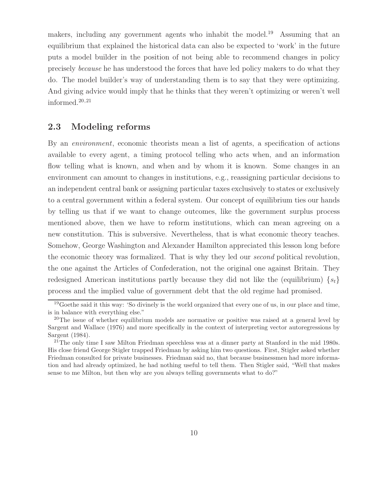makers, including any government agents who inhabit the model.<sup>19</sup> Assuming that an equilibrium that explained the historical data can also be expected to 'work' in the future puts a model builder in the position of not being able to recommend changes in policy precisely because he has understood the forces that have led policy makers to do what they do. The model builder's way of understanding them is to say that they were optimizing. And giving advice would imply that he thinks that they weren't optimizing or weren't well informed. $20,21$ 

#### **2.3 Modeling reforms**

By an environment, economic theorists mean a list of agents, a specification of actions available to every agent, a timing protocol telling who acts when, and an information flow telling what is known, and when and by whom it is known. Some changes in an environment can amount to changes in institutions, e.g., reassigning particular decisions to an independent central bank or assigning particular taxes exclusively to states or exclusively to a central government within a federal system. Our concept of equilibrium ties our hands by telling us that if we want to change outcomes, like the government surplus process mentioned above, then we have to reform institutions, which can mean agreeing on a new constitution. This is subversive. Nevertheless, that is what economic theory teaches. Somehow, George Washington and Alexander Hamilton appreciated this lesson long before the economic theory was formalized. That is why they led our second political revolution, the one against the Articles of Confederation, not the original one against Britain. They redesigned American institutions partly because they did not like the (equilibrium)  $\{s_t\}$ process and the implied value of government debt that the old regime had promised.

 $19$ Goethe said it this way: 'So divinely is the world organized that every one of us, in our place and time, is in balance with everything else."

 $20$ The issue of whether equilibrium models are normative or positive was raised at a general level by Sargent and Wallace (1976) and more specifically in the context of interpreting vector autoregressions by Sargent (1984).

<sup>&</sup>lt;sup>21</sup>The only time I saw Milton Friedman speechless was at a dinner party at Stanford in the mid 1980s. His close friend George Stigler trapped Friedman by asking him two questions. First, Stigler asked whether Friedman consulted for private businesses. Friedman said no, that because businessmen had more information and had already optimized, he had nothing useful to tell them. Then Stigler said, "Well that makes sense to me Milton, but then why are you always telling governments what to do?"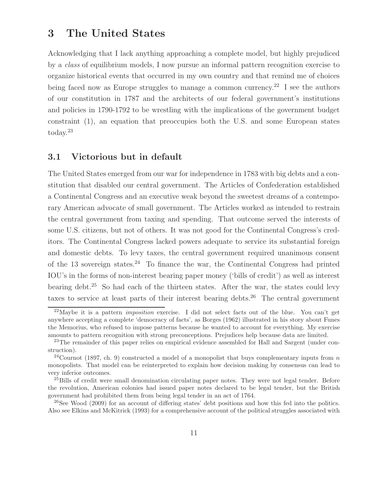# **3 The United States**

Acknowledging that I lack anything approaching a complete model, but highly prejudiced by a class of equilibrium models, I now pursue an informal pattern recognition exercise to organize historical events that occurred in my own country and that remind me of choices being faced now as Europe struggles to manage a common currency.<sup>22</sup> I see the authors of our constitution in 1787 and the architects of our federal government's institutions and policies in 1790-1792 to be wrestling with the implications of the government budget constraint (1), an equation that preoccupies both the U.S. and some European states today.<sup>23</sup>

#### **3.1 Victorious but in default**

The United States emerged from our war for independence in 1783 with big debts and a constitution that disabled our central government. The Articles of Confederation established a Continental Congress and an executive weak beyond the sweetest dreams of a contemporary American advocate of small government. The Articles worked as intended to restrain the central government from taxing and spending. That outcome served the interests of some U.S. citizens, but not of others. It was not good for the Continental Congress's creditors. The Continental Congress lacked powers adequate to service its substantial foreign and domestic debts. To levy taxes, the central government required unanimous consent of the 13 sovereign states.<sup>24</sup> To finance the war, the Continental Congress had printed IOU's in the forms of non-interest bearing paper money ('bills of credit') as well as interest bearing debt.<sup>25</sup> So had each of the thirteen states. After the war, the states could levy taxes to service at least parts of their interest bearing debts.<sup>26</sup> The central government

<sup>22</sup>Maybe it is a pattern *imposition* exercise. I did not select facts out of the blue. You can't get anywhere accepting a complete 'democracy of facts', as Borges (1962) illustrated in his story about Funes the Memorius, who refused to impose patterns because he wanted to account for everything. My exercise amounts to pattern recognition with strong preconceptions. Prejudices help because data are limited.

<sup>&</sup>lt;sup>23</sup>The remainder of this paper relies on empirical evidence assembled for Hall and Sargent (under construction).

<sup>&</sup>lt;sup>24</sup>Cournot (1897, ch. 9) constructed a model of a monopolist that buys complementary inputs from n monopolists. That model can be reinterpreted to explain how decision making by consensus can lead to very inferior outcomes.

<sup>&</sup>lt;sup>25</sup>Bills of credit were small denomination circulating paper notes. They were not legal tender. Before the revolution, American colonies had issued paper notes declared to be legal tender, but the British government had prohibited them from being legal tender in an act of 1764.

 $^{26}$ See Wood (2009) for an account of differing states' debt positions and how this fed into the politics. Also see Elkins and McKitrick (1993) for a comprehensive account of the political struggles associated with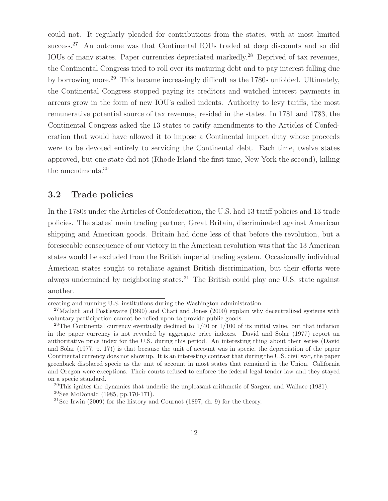could not. It regularly pleaded for contributions from the states, with at most limited success.<sup>27</sup> An outcome was that Continental IOUs traded at deep discounts and so did IOUs of many states. Paper currencies depreciated markedly.<sup>28</sup> Deprived of tax revenues, the Continental Congress tried to roll over its maturing debt and to pay interest falling due by borrowing more.<sup>29</sup> This became increasingly difficult as the 1780s unfolded. Ultimately, the Continental Congress stopped paying its creditors and watched interest payments in arrears grow in the form of new IOU's called indents. Authority to levy tariffs, the most remunerative potential source of tax revenues, resided in the states. In 1781 and 1783, the Continental Congress asked the 13 states to ratify amendments to the Articles of Confederation that would have allowed it to impose a Continental import duty whose proceeds were to be devoted entirely to servicing the Continental debt. Each time, twelve states approved, but one state did not (Rhode Island the first time, New York the second), killing the amendments.<sup>30</sup>

#### **3.2 Trade policies**

In the 1780s under the Articles of Confederation, the U.S. had 13 tariff policies and 13 trade policies. The states' main trading partner, Great Britain, discriminated against American shipping and American goods. Britain had done less of that before the revolution, but a foreseeable consequence of our victory in the American revolution was that the 13 American states would be excluded from the British imperial trading system. Occasionally individual American states sought to retaliate against British discrimination, but their efforts were always undermined by neighboring states.<sup>31</sup> The British could play one U.S. state against another.

creating and running U.S. institutions during the Washington administration.

<sup>&</sup>lt;sup>27</sup>Mailath and Postlewaite (1990) and Chari and Jones (2000) explain why decentralized systems with voluntary participation cannot be relied upon to provide public goods.

<sup>&</sup>lt;sup>28</sup>The Continental currency eventually declined to  $1/40$  or  $1/100$  of its initial value, but that inflation in the paper currency is not revealed by aggregate price indexes. David and Solar (1977) report an authoritative price index for the U.S. during this period. An interesting thing about their series (David and Solar (1977, p. 17)) is that because the unit of account was in specie, the depreciation of the paper Continental currency does not show up. It is an interesting contrast that during the U.S. civil war, the paper greenback displaced specie as the unit of account in most states that remained in the Union. California and Oregon were exceptions. Their courts refused to enforce the federal legal tender law and they stayed on a specie standard.

 $29$ This ignites the dynamics that underlie the unpleasant arithmetic of Sargent and Wallace (1981). <sup>30</sup>See McDonald (1985, pp.170-171).

 $31$ See Irwin (2009) for the history and Cournot (1897, ch. 9) for the theory.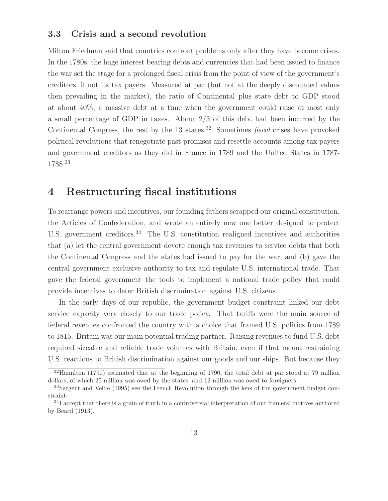#### **3.3 Crisis and a second revolution**

Milton Friedman said that countries confront problems only after they have become crises. In the 1780s, the huge interest bearing debts and currencies that had been issued to finance the war set the stage for a prolonged fiscal crisis from the point of view of the government's creditors, if not its tax payers. Measured at par (but not at the deeply discounted values then prevailing in the market), the ratio of Continental plus state debt to GDP stood at about 40%, a massive debt at a time when the government could raise at most only a small percentage of GDP in taxes. About 2/3 of this debt had been incurred by the Continental Congress, the rest by the  $13$  states.<sup>32</sup> Sometimes *fiscal* crises have provoked political revolutions that renegotiate past promises and resettle accounts among tax payers and government creditors as they did in France in 1789 and the United States in 1787- 1788.<sup>33</sup>

### **4 Restructuring fiscal institutions**

To rearrange powers and incentives, our founding fathers scrapped our original constitution, the Articles of Confederation, and wrote an entirely new one better designed to protect U.S. government creditors.<sup>34</sup> The U.S. constitution realigned incentives and authorities that (a) let the central government devote enough tax revenues to service debts that both the Continental Congress and the states had issued to pay for the war, and (b) gave the central government exclusive authority to tax and regulate U.S. international trade. That gave the federal government the tools to implement a national trade policy that could provide incentives to deter British discrimination against U.S. citizens.

In the early days of our republic, the government budget constraint linked our debt service capacity very closely to our trade policy. That tariffs were the main source of federal revenues confronted the country with a choice that framed U.S. politics from 1789 to 1815. Britain was our main potential trading partner. Raising revenues to fund U.S. debt required sizeable and reliable trade volumes with Britain, even if that meant restraining U.S. reactions to British discrimination against our goods and our ships. But because they

<sup>&</sup>lt;sup>32</sup>Hamilton (1790) estimated that at the beginning of 1790, the total debt at par stood at 79 million dollars, of which 25 million was owed by the states, and 12 million was owed to foreigners.

<sup>&</sup>lt;sup>33</sup>Sargent and Velde (1995) see the French Revolution through the lens of the government budget constraint.

<sup>&</sup>lt;sup>34</sup>I accept that there is a grain of truth in a controversial interpretation of our framers' motives authored by Beard (1913).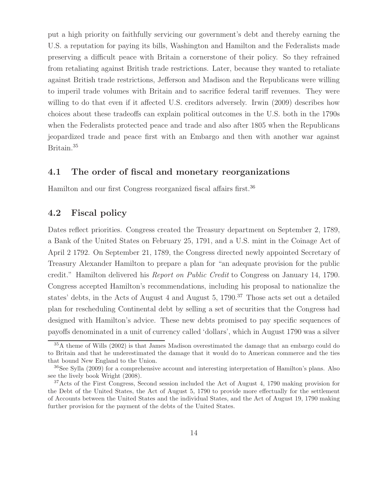put a high priority on faithfully servicing our government's debt and thereby earning the U.S. a reputation for paying its bills, Washington and Hamilton and the Federalists made preserving a difficult peace with Britain a cornerstone of their policy. So they refrained from retaliating against British trade restrictions. Later, because they wanted to retaliate against British trade restrictions, Jefferson and Madison and the Republicans were willing to imperil trade volumes with Britain and to sacrifice federal tariff revenues. They were willing to do that even if it affected U.S. creditors adversely. Irwin (2009) describes how choices about these tradeoffs can explain political outcomes in the U.S. both in the 1790s when the Federalists protected peace and trade and also after 1805 when the Republicans jeopardized trade and peace first with an Embargo and then with another war against Britain.<sup>35</sup>

### **4.1 The order of fiscal and monetary reorganizations**

Hamilton and our first Congress reorganized fiscal affairs first.<sup>36</sup>

#### **4.2 Fiscal policy**

Dates reflect priorities. Congress created the Treasury department on September 2, 1789, a Bank of the United States on February 25, 1791, and a U.S. mint in the Coinage Act of April 2 1792. On September 21, 1789, the Congress directed newly appointed Secretary of Treasury Alexander Hamilton to prepare a plan for "an adequate provision for the public credit." Hamilton delivered his Report on Public Credit to Congress on January 14, 1790. Congress accepted Hamilton's recommendations, including his proposal to nationalize the states' debts, in the Acts of August 4 and August 5,  $1790$ .<sup>37</sup> Those acts set out a detailed plan for rescheduling Continental debt by selling a set of securities that the Congress had designed with Hamilton's advice. These new debts promised to pay specific sequences of payoffs denominated in a unit of currency called 'dollars', which in August 1790 was a silver

<sup>&</sup>lt;sup>35</sup>A theme of Wills (2002) is that James Madison overestimated the damage that an embargo could do to Britain and that he underestimated the damage that it would do to American commerce and the ties that bound New England to the Union.

<sup>36</sup>See Sylla (2009) for a comprehensive account and interesting interpretation of Hamilton's plans. Also see the lively book Wright (2008).

<sup>&</sup>lt;sup>37</sup>Acts of the First Congress, Second session included the Act of August 4, 1790 making provision for the Debt of the United States, the Act of August 5, 1790 to provide more effectually for the settlement of Accounts between the United States and the individual States, and the Act of August 19, 1790 making further provision for the payment of the debts of the United States.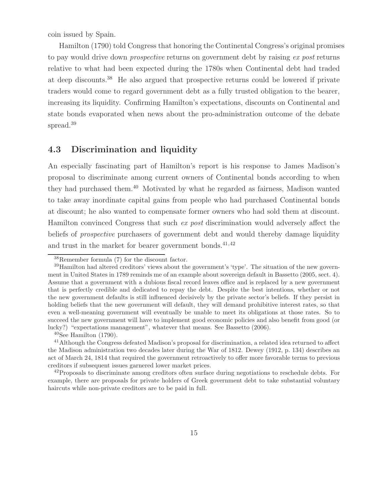coin issued by Spain.

Hamilton (1790) told Congress that honoring the Continental Congress's original promises to pay would drive down *prospective* returns on government debt by raising ex post returns relative to what had been expected during the 1780s when Continental debt had traded at deep discounts.<sup>38</sup> He also argued that prospective returns could be lowered if private traders would come to regard government debt as a fully trusted obligation to the bearer, increasing its liquidity. Confirming Hamilton's expectations, discounts on Continental and state bonds evaporated when news about the pro-administration outcome of the debate spread.<sup>39</sup>

#### **4.3 Discrimination and liquidity**

An especially fascinating part of Hamilton's report is his response to James Madison's proposal to discriminate among current owners of Continental bonds according to when they had purchased them.<sup>40</sup> Motivated by what he regarded as fairness, Madison wanted to take away inordinate capital gains from people who had purchased Continental bonds at discount; he also wanted to compensate former owners who had sold them at discount. Hamilton convinced Congress that such ex post discrimination would adversely affect the beliefs of prospective purchasers of government debt and would thereby damage liquidity and trust in the market for bearer government bonds. $41,42$ 

<sup>38</sup>Remember formula (7) for the discount factor.

<sup>39</sup>Hamilton had altered creditors' views about the government's 'type'. The situation of the new government in United States in 1789 reminds me of an example about sovereign default in Bassetto (2005, sect. 4). Assume that a government with a dubious fiscal record leaves office and is replaced by a new government that is perfectly credible and dedicated to repay the debt. Despite the best intentions, whether or not the new government defaults is still influenced decisively by the private sector's beliefs. If they persist in holding beliefs that the new government will default, they will demand prohibitive interest rates, so that even a well-meaning government will eventually be unable to meet its obligations at those rates. So to succeed the new government will have to implement good economic policies and also benefit from good (or lucky?) "expectations management", whatever that means. See Bassetto (2006).

 $40$ See Hamilton  $(1790)$ .

<sup>&</sup>lt;sup>41</sup>Although the Congress defeated Madison's proposal for discrimination, a related idea returned to affect the Madison administration two decades later during the War of 1812. Dewey (1912, p. 134) describes an act of March 24, 1814 that required the government retroactively to offer more favorable terms to previous creditors if subsequent issues garnered lower market prices.

 $^{42}$ Proposals to discriminate among creditors often surface during negotiations to reschedule debts. For example, there are proposals for private holders of Greek government debt to take substantial voluntary haircuts while non-private creditors are to be paid in full.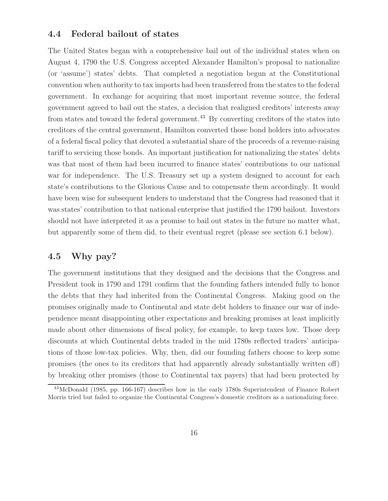#### **4.4 Federal bailout of states**

The United States began with a comprehensive bail out of the individual states when on August 4, 1790 the U.S. Congress accepted Alexander Hamilton's proposal to nationalize (or 'assume') states' debts. That completed a negotiation begun at the Constitutional convention when authority to tax imports had been transferred from the states to the federal government. In exchange for acquiring that most important revenue source, the federal government agreed to bail out the states, a decision that realigned creditors' interests away from states and toward the federal government.<sup>43</sup> By converting creditors of the states into creditors of the central government, Hamilton converted those bond holders into advocates of a federal fiscal policy that devoted a substantial share of the proceeds of a revenue-raising tariff to servicing those bonds. An important justification for nationalizing the states' debts was that most of them had been incurred to finance states' contributions to our national war for independence. The U.S. Treasury set up a system designed to account for each state's contributions to the Glorious Cause and to compensate them accordingly. It would have been wise for subsequent lenders to understand that the Congress had reasoned that it was states' contribution to that national enterprise that justified the 1790 bailout. Investors should not have interpreted it as a promise to bail out states in the future no matter what, but apparently some of them did, to their eventual regret (please see section 6.1 below).

#### **4.5 Why pay?**

The government institutions that they designed and the decisions that the Congress and President took in 1790 and 1791 confirm that the founding fathers intended fully to honor the debts that they had inherited from the Continental Congress. Making good on the promises originally made to Continental and state debt holders to finance our war of independence meant disappointing other expectations and breaking promises at least implicitly made about other dimensions of fiscal policy, for example, to keep taxes low. Those deep discounts at which Continental debts traded in the mid 1780s reflected traders' anticipations of those low-tax policies. Why, then, did our founding fathers choose to keep some promises (the ones to its creditors that had apparently already substantially written off) by breaking other promises (those to Continental tax payers) that had been protected by

<sup>43</sup>McDonald (1985, pp. 166-167) describes how in the early 1780s Superintendent of Finance Robert Morris tried but failed to organize the Continental Congress's domestic creditors as a nationalizing force.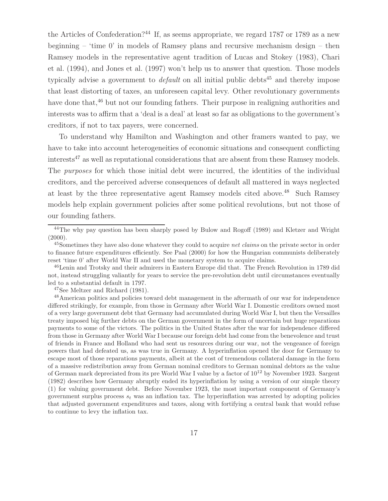the Articles of Confederation?<sup>44</sup> If, as seems appropriate, we regard 1787 or 1789 as a new beginning – 'time 0' in models of Ramsey plans and recursive mechanism design – then Ramsey models in the representative agent tradition of Lucas and Stokey (1983), Chari et al. (1994), and Jones et al. (1997) won't help us to answer that question. Those models typically advise a government to *default* on all initial public debts<sup>45</sup> and thereby impose that least distorting of taxes, an unforeseen capital levy. Other revolutionary governments have done that,<sup>46</sup> but not our founding fathers. Their purpose in realigning authorities and interests was to affirm that a 'deal is a deal' at least so far as obligations to the government's creditors, if not to tax payers, were concerned.

To understand why Hamilton and Washington and other framers wanted to pay, we have to take into account heterogeneities of economic situations and consequent conflicting interests<sup>47</sup> as well as reputational considerations that are absent from these Ramsey models. The purposes for which those initial debt were incurred, the identities of the individual creditors, and the perceived adverse consequences of default all mattered in ways neglected at least by the three representative agent Ramsey models cited above.<sup>48</sup> Such Ramsey models help explain government policies after some political revolutions, but not those of our founding fathers.

<sup>47</sup>See Meltzer and Richard (1981).

<sup>&</sup>lt;sup>44</sup>The why pay question has been sharply posed by Bulow and Rogoff (1989) and Kletzer and Wright  $(2000).$ 

<sup>45</sup>Sometimes they have also done whatever they could to acquire *net claims* on the private sector in order to finance future expenditures efficiently. See Paal (2000) for how the Hungarian communists deliberately reset 'time 0' after World War II and used the monetary system to acquire claims.

<sup>&</sup>lt;sup>46</sup>Lenin and Trotsky and their admirers in Eastern Europe did that. The French Revolution in 1789 did not, instead struggling valiantly for years to service the pre-revolution debt until circumstances eventually led to a substantial default in 1797.

<sup>48</sup>American politics and policies toward debt management in the aftermath of our war for independence differed strikingly, for example, from those in Germany after World War I. Domestic creditors owned most of a very large government debt that Germany had accumulated during World War I, but then the Versailles treaty imposed big further debts on the German government in the form of uncertain but huge reparations payments to some of the victors. The politics in the United States after the war for independence differed from those in Germany after World War I because our foreign debt had come from the benevolence and trust of friends in France and Holland who had sent us resources during our war, not the vengeance of foreign powers that had defeated us, as was true in Germany. A hyperinflation opened the door for Germany to escape most of those reparations payments, albeit at the cost of tremendous collateral damage in the form of a massive redistribution away from German nominal creditors to German nominal debtors as the value of German mark depreciated from its pre World War I value by a factor of  $10^{12}$  by November 1923. Sargent (1982) describes how Germany abruptly ended its hyperinflation by using a version of our simple theory (1) for valuing government debt. Before November 1923, the most important component of Germany's government surplus process  $s_t$  was an inflation tax. The hyperinflation was arrested by adopting policies that adjusted government expenditures and taxes, along with fortifying a central bank that would refuse to continue to levy the inflation tax.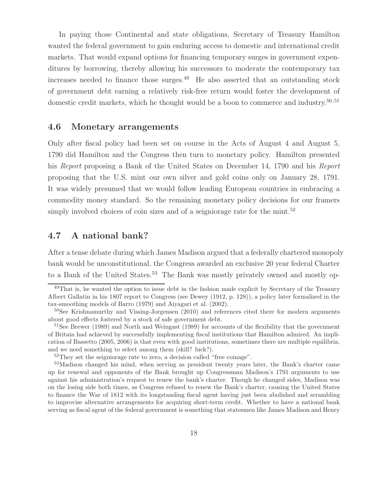In paying those Continental and state obligations, Secretary of Treasury Hamilton wanted the federal government to gain enduring access to domestic and international credit markets. That would expand options for financing temporary surges in government expenditures by borrowing, thereby allowing his successors to moderate the contemporary tax increases needed to finance those surges.<sup>49</sup> He also asserted that an outstanding stock of government debt earning a relatively risk-free return would foster the development of domestic credit markets, which he thought would be a boon to commerce and industry.<sup>50,51</sup>

#### **4.6 Monetary arrangements**

Only after fiscal policy had been set on course in the Acts of August 4 and August 5, 1790 did Hamilton and the Congress then turn to monetary policy. Hamilton presented his Report proposing a Bank of the United States on December 14, 1790 and his Report proposing that the U.S. mint our own silver and gold coins only on January 28, 1791. It was widely presumed that we would follow leading European countries in embracing a commodity money standard. So the remaining monetary policy decisions for our framers simply involved choices of coin sizes and of a seigniorage rate for the mint.<sup>52</sup>

### **4.7 A national bank?**

After a tense debate during which James Madison argued that a federally chartered monopoly bank would be unconstitutional, the Congress awarded an exclusive 20 year federal Charter to a Bank of the United States.<sup>53</sup> The Bank was mostly privately owned and mostly op-

<sup>&</sup>lt;sup>49</sup>That is, he wanted the option to issue debt in the fashion made explicit by Secretary of the Treasury Albert Gallatin in his 1807 report to Congress (see Dewey (1912, p. 128)), a policy later formalized in the tax-smoothing models of Barro (1979) and Aiyagari et al. (2002).

<sup>&</sup>lt;sup>50</sup>See Krishnamurthy and Vissing-Jorgensen (2010) and references cited there for modern arguments about good effects fostered by a stock of safe government debt.

<sup>&</sup>lt;sup>51</sup>See Brewer (1989) and North and Weingast (1989) for accounts of the flexibility that the government of Britain had achieved by successfully implementing fiscal institutions that Hamilton admired. An implication of Bassetto (2005, 2006) is that even with good institutions, sometimes there are multiple equilibria, and we need something to select among them (skill? luck?).

<sup>&</sup>lt;sup>52</sup>They set the seigniorage rate to zero, a decision called "free coinage".

<sup>&</sup>lt;sup>53</sup>Madison changed his mind, when serving as president twenty years later, the Bank's charter came up for renewal and opponents of the Bank brought up Congressman Madison's 1791 arguments to use against his administration's request to renew the bank's charter. Though he changed sides, Madison was on the losing side both times, as Congress refused to renew the Bank's charter, causing the United States to finance the War of 1812 with its longstanding fiscal agent having just been abolished and scrambling to improvise alternative arrangements for acquiring short-term credit. Whether to have a national bank serving as fiscal agent of the federal government is something that statesmen like James Madison and Henry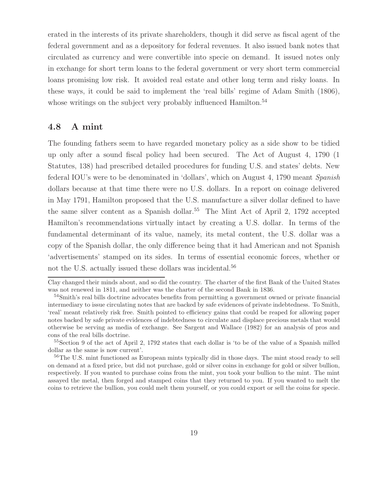erated in the interests of its private shareholders, though it did serve as fiscal agent of the federal government and as a depository for federal revenues. It also issued bank notes that circulated as currency and were convertible into specie on demand. It issued notes only in exchange for short term loans to the federal government or very short term commercial loans promising low risk. It avoided real estate and other long term and risky loans. In these ways, it could be said to implement the 'real bills' regime of Adam Smith (1806), whose writings on the subject very probably influenced Hamilton.<sup>54</sup>

#### **4.8 A mint**

The founding fathers seem to have regarded monetary policy as a side show to be tidied up only after a sound fiscal policy had been secured. The Act of August 4, 1790 (1 Statutes, 138) had prescribed detailed procedures for funding U.S. and states' debts. New federal IOU's were to be denominated in 'dollars', which on August 4, 1790 meant Spanish dollars because at that time there were no U.S. dollars. In a report on coinage delivered in May 1791, Hamilton proposed that the U.S. manufacture a silver dollar defined to have the same silver content as a Spanish dollar.<sup>55</sup> The Mint Act of April 2, 1792 accepted Hamilton's recommendations virtually intact by creating a U.S. dollar. In terms of the fundamental determinant of its value, namely, its metal content, the U.S. dollar was a copy of the Spanish dollar, the only difference being that it had American and not Spanish 'advertisements' stamped on its sides. In terms of essential economic forces, whether or not the U.S. actually issued these dollars was incidental.<sup>56</sup>

Clay changed their minds about, and so did the country. The charter of the first Bank of the United States was not renewed in 1811, and neither was the charter of the second Bank in 1836.

<sup>&</sup>lt;sup>54</sup>Smith's real bills doctrine advocates benefits from permitting a government owned or private financial intermediary to issue circulating notes that are backed by safe evidences of private indebtedness. To Smith, 'real' meant relatively risk free. Smith pointed to efficiency gains that could be reaped for allowing paper notes backed by safe private evidences of indebtedness to circulate and displace precious metals that would otherwise be serving as media of exchange. See Sargent and Wallace (1982) for an analysis of pros and cons of the real bills doctrine.

<sup>55</sup>Section 9 of the act of April 2, 1792 states that each dollar is 'to be of the value of a Spanish milled dollar as the same is now current'.

<sup>&</sup>lt;sup>56</sup>The U.S. mint functioned as European mints typically did in those days. The mint stood ready to sell on demand at a fixed price, but did not purchase, gold or silver coins in exchange for gold or silver bullion, respectively. If you wanted to purchase coins from the mint, you took your bullion to the mint. The mint assayed the metal, then forged and stamped coins that they returned to you. If you wanted to melt the coins to retrieve the bullion, you could melt them yourself, or you could export or sell the coins for specie.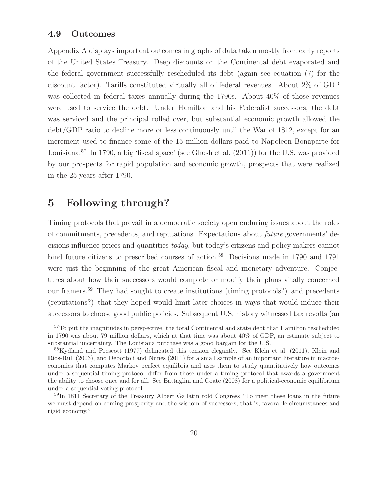#### **4.9 Outcomes**

Appendix A displays important outcomes in graphs of data taken mostly from early reports of the United States Treasury. Deep discounts on the Continental debt evaporated and the federal government successfully rescheduled its debt (again see equation (7) for the discount factor). Tariffs constituted virtually all of federal revenues. About 2% of GDP was collected in federal taxes annually during the 1790s. About 40% of those revenues were used to service the debt. Under Hamilton and his Federalist successors, the debt was serviced and the principal rolled over, but substantial economic growth allowed the debt/GDP ratio to decline more or less continuously until the War of 1812, except for an increment used to finance some of the 15 million dollars paid to Napoleon Bonaparte for Louisiana.<sup>57</sup> In 1790, a big 'fiscal space' (see Ghosh et al. (2011)) for the U.S. was provided by our prospects for rapid population and economic growth, prospects that were realized in the 25 years after 1790.

### **5 Following through?**

Timing protocols that prevail in a democratic society open enduring issues about the roles of commitments, precedents, and reputations. Expectations about future governments' decisions influence prices and quantities today, but today's citizens and policy makers cannot bind future citizens to prescribed courses of action.<sup>58</sup> Decisions made in 1790 and 1791 were just the beginning of the great American fiscal and monetary adventure. Conjectures about how their successors would complete or modify their plans vitally concerned our framers.<sup>59</sup> They had sought to create institutions (timing protocols?) and precedents (reputations?) that they hoped would limit later choices in ways that would induce their successors to choose good public policies. Subsequent U.S. history witnessed tax revolts (an

<sup>57</sup>To put the magnitudes in perspective, the total Continental and state debt that Hamilton rescheduled in 1790 was about 79 million dollars, which at that time was about 40% of GDP, an estimate subject to substantial uncertainty. The Louisiana purchase was a good bargain for the U.S.

<sup>&</sup>lt;sup>58</sup>Kydland and Prescott (1977) delineated this tension elegantly. See Klein et al. (2011), Klein and Rios-Rull (2003), and Debortoli and Nunes (2011) for a small sample of an important literature in macroeconomics that computes Markov perfect equilibria and uses them to study quantitatively how outcomes under a sequential timing protocol differ from those under a timing protocol that awards a government the ability to choose once and for all. See Battaglini and Coate (2008) for a political-economic equilibrium under a sequential voting protocol.

<sup>&</sup>lt;sup>59</sup>In 1811 Secretary of the Treasury Albert Gallatin told Congress "To meet these loans in the future we must depend on coming prosperity and the wisdom of successors; that is, favorable circumstances and rigid economy."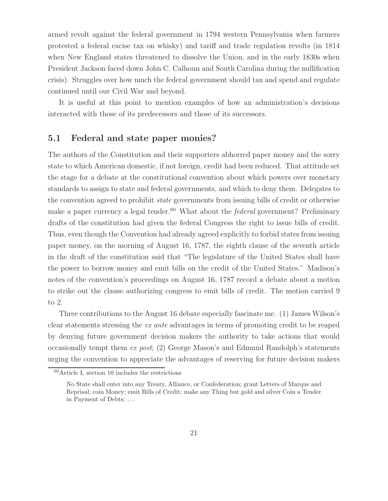armed revolt against the federal government in 1794 western Pennsylvania when farmers protested a federal excise tax on whisky) and tariff and trade regulation revolts (in 1814 when New England states threatened to dissolve the Union, and in the early 1830s when President Jackson faced down John C. Calhoun and South Carolina during the nullification crisis). Struggles over how much the federal government should tax and spend and regulate continued until our Civil War and beyond.

It is useful at this point to mention examples of how an administration's decisions interacted with those of its predecessors and those of its successors.

#### **5.1 Federal and state paper monies?**

The authors of the Constitution and their supporters abhorred paper money and the sorry state to which American domestic, if not foreign, credit had been reduced. That attitude set the stage for a debate at the constitutional convention about which powers over monetary standards to assign to state and federal governments, and which to deny them. Delegates to the convention agreed to prohibit state governments from issuing bills of credit or otherwise make a paper currency a legal tender.<sup>60</sup> What about the *federal* government? Preliminary drafts of the constitution had given the federal Congress the right to issue bills of credit. Thus, even though the Convention had already agreed explicitly to forbid states from issuing paper money, on the morning of August 16, 1787, the eighth clause of the seventh article in the draft of the constitution said that "The legislature of the United States shall have the power to borrow money and emit bills on the credit of the United States." Madison's notes of the convention's proceedings on August 16, 1787 record a debate about a motion to strike out the clause authorizing congress to emit bills of credit. The motion carried 9 to 2.

Three contributions to the August 16 debate especially fascinate me. (1) James Wilson's clear statements stressing the ex ante advantages in terms of promoting credit to be reaped by denying future government decision makers the authority to take actions that would occasionally tempt them ex post; (2) George Mason's and Edmund Randolph's statements urging the convention to appreciate the advantages of reserving for future decision makers

 $60$ Article I, section 10 includes the restrictions

No State shall enter into any Treaty, Alliance, or Confederation; grant Letters of Marque and Reprisal; coin Money; emit Bills of Credit; make any Thing but gold and silver Coin a Tender in Payment of Debts; ...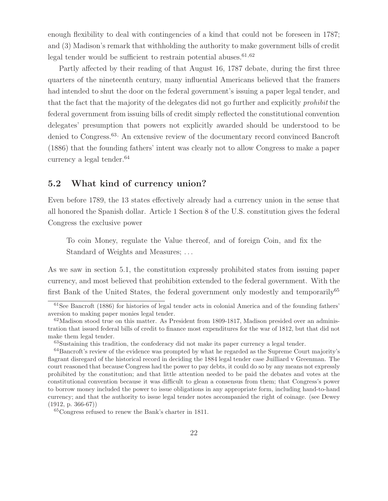enough flexibility to deal with contingencies of a kind that could not be foreseen in 1787; and (3) Madison's remark that withholding the authority to make government bills of credit legal tender would be sufficient to restrain potential abuses.  $61,62$ 

Partly affected by their reading of that August 16, 1787 debate, during the first three quarters of the nineteenth century, many influential Americans believed that the framers had intended to shut the door on the federal government's issuing a paper legal tender, and that the fact that the majority of the delegates did not go further and explicitly prohibit the federal government from issuing bills of credit simply reflected the constitutional convention delegates' presumption that powers not explicitly awarded should be understood to be denied to Congress.<sup>63,</sup> An extensive review of the documentary record convinced Bancroft (1886) that the founding fathers' intent was clearly not to allow Congress to make a paper currency a legal tender.  $64$ 

#### **5.2 What kind of currency union?**

Even before 1789, the 13 states effectively already had a currency union in the sense that all honored the Spanish dollar. Article 1 Section 8 of the U.S. constitution gives the federal Congress the exclusive power

To coin Money, regulate the Value thereof, and of foreign Coin, and fix the Standard of Weights and Measures; ...

As we saw in section 5.1, the constitution expressly prohibited states from issuing paper currency, and most believed that prohibition extended to the federal government. With the first Bank of the United States, the federal government only modestly and temporarily<sup>65</sup>

<sup>61</sup>See Bancroft (1886) for histories of legal tender acts in colonial America and of the founding fathers' aversion to making paper monies legal tender.

 $62$ Madison stood true on this matter. As President from 1809-1817, Madison presided over an administration that issued federal bills of credit to finance most expenditures for the war of 1812, but that did not make them legal tender.

<sup>63</sup>Sustaining this tradition, the confederacy did not make its paper currency a legal tender.

<sup>64</sup>Bancroft's review of the evidence was prompted by what he regarded as the Supreme Court majority's flagrant disregard of the historical record in deciding the 1884 legal tender case Juilliard v Greenman. The court reasoned that because Congress had the power to pay debts, it could do so by any means not expressly prohibited by the constitution; and that little attention needed to be paid the debates and votes at the constitutional convention because it was difficult to glean a consensus from them; that Congress's power to borrow money included the power to issue obligations in any appropriate form, including hand-to-hand currency; and that the authority to issue legal tender notes accompanied the right of coinage. (see Dewey  $(1912, p. 366-67))$ 

<sup>65</sup>Congress refused to renew the Bank's charter in 1811.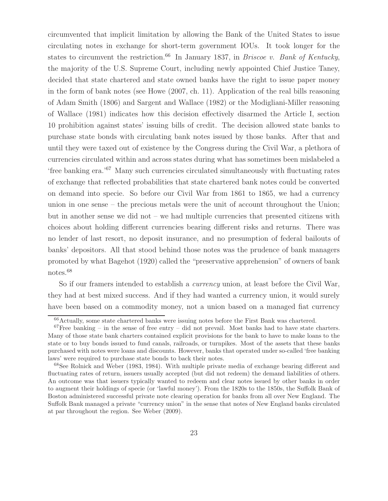circumvented that implicit limitation by allowing the Bank of the United States to issue circulating notes in exchange for short-term government IOUs. It took longer for the states to circumvent the restriction.<sup>66</sup> In January 1837, in *Briscoe v. Bank of Kentucky*, the majority of the U.S. Supreme Court, including newly appointed Chief Justice Taney, decided that state chartered and state owned banks have the right to issue paper money in the form of bank notes (see Howe (2007, ch. 11). Application of the real bills reasoning of Adam Smith (1806) and Sargent and Wallace (1982) or the Modigliani-Miller reasoning of Wallace (1981) indicates how this decision effectively disarmed the Article I, section 10 prohibition against states' issuing bills of credit. The decision allowed state banks to purchase state bonds with circulating bank notes issued by those banks. After that and until they were taxed out of existence by the Congress during the Civil War, a plethora of currencies circulated within and across states during what has sometimes been mislabeled a 'free banking era.'<sup>67</sup> Many such currencies circulated simultaneously with fluctuating rates of exchange that reflected probabilities that state chartered bank notes could be converted on demand into specie. So before our Civil War from 1861 to 1865, we had a currency union in one sense – the precious metals were the unit of account throughout the Union; but in another sense we did not – we had multiple currencies that presented citizens with choices about holding different currencies bearing different risks and returns. There was no lender of last resort, no deposit insurance, and no presumption of federal bailouts of banks' depositors. All that stood behind those notes was the prudence of bank managers promoted by what Bagehot (1920) called the "preservative apprehension" of owners of bank notes.<sup>68</sup>

So if our framers intended to establish a *currency* union, at least before the Civil War, they had at best mixed success. And if they had wanted a currency union, it would surely have been based on a commodity money, not a union based on a managed fiat currency

<sup>66</sup>Actually, some state chartered banks were issuing notes before the First Bank was chartered.

 $67$  Free banking – in the sense of free entry – did not prevail. Most banks had to have state charters. Many of those state bank charters contained explicit provisions for the bank to have to make loans to the state or to buy bonds issued to fund canals, railroads, or turnpikes. Most of the assets that these banks purchased with notes were loans and discounts. However, banks that operated under so-called 'free banking laws' were required to purchase state bonds to back their notes.

<sup>68</sup>See Rolnick and Weber (1983, 1984). With multiple private media of exchange bearing different and fluctuating rates of return, issuers usually accepted (but did not redeem) the demand liabilities of others. An outcome was that issuers typically wanted to redeem and clear notes issued by other banks in order to augment their holdings of specie (or 'lawful money'). From the 1820s to the 1850s, the Suffolk Bank of Boston administered successful private note clearing operation for banks from all over New England. The Suffolk Bank managed a private "currency union" in the sense that notes of New England banks circulated at par throughout the region. See Weber (2009).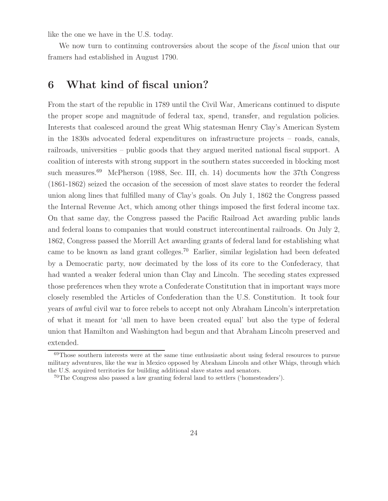like the one we have in the U.S. today.

We now turn to continuing controversies about the scope of the *fiscal* union that our framers had established in August 1790.

### **6 What kind of fiscal union?**

From the start of the republic in 1789 until the Civil War, Americans continued to dispute the proper scope and magnitude of federal tax, spend, transfer, and regulation policies. Interests that coalesced around the great Whig statesman Henry Clay's American System in the 1830s advocated federal expenditures on infrastructure projects – roads, canals, railroads, universities – public goods that they argued merited national fiscal support. A coalition of interests with strong support in the southern states succeeded in blocking most such measures.<sup>69</sup> McPherson (1988, Sec. III, ch. 14) documents how the 37th Congress (1861-1862) seized the occasion of the secession of most slave states to reorder the federal union along lines that fulfilled many of Clay's goals. On July 1, 1862 the Congress passed the Internal Revenue Act, which among other things imposed the first federal income tax. On that same day, the Congress passed the Pacific Railroad Act awarding public lands and federal loans to companies that would construct intercontinental railroads. On July 2, 1862, Congress passed the Morrill Act awarding grants of federal land for establishing what came to be known as land grant colleges.<sup>70</sup> Earlier, similar legislation had been defeated by a Democratic party, now decimated by the loss of its core to the Confederacy, that had wanted a weaker federal union than Clay and Lincoln. The seceding states expressed those preferences when they wrote a Confederate Constitution that in important ways more closely resembled the Articles of Confederation than the U.S. Constitution. It took four years of awful civil war to force rebels to accept not only Abraham Lincoln's interpretation of what it meant for 'all men to have been created equal' but also the type of federal union that Hamilton and Washington had begun and that Abraham Lincoln preserved and extended.

<sup>&</sup>lt;sup>69</sup>Those southern interests were at the same time enthusiastic about using federal resources to pursue military adventures, like the war in Mexico opposed by Abraham Lincoln and other Whigs, through which the U.S. acquired territories for building additional slave states and senators.

<sup>70</sup>The Congress also passed a law granting federal land to settlers ('homesteaders').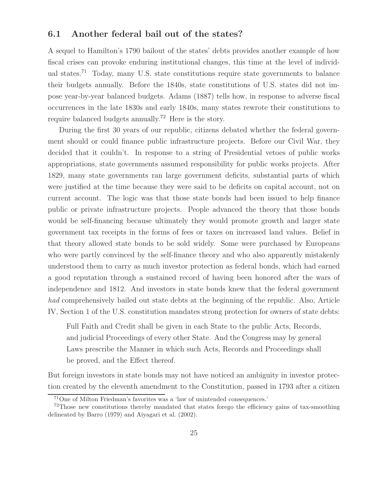#### **6.1 Another federal bail out of the states?**

A sequel to Hamilton's 1790 bailout of the states' debts provides another example of how fiscal crises can provoke enduring institutional changes, this time at the level of individual states.<sup>71</sup> Today, many U.S. state constitutions require state governments to balance their budgets annually. Before the 1840s, state constitutions of U.S. states did not impose year-by-year balanced budgets. Adams (1887) tells how, in response to adverse fiscal occurrences in the late 1830s and early 1840s, many states rewrote their constitutions to require balanced budgets annually.<sup>72</sup> Here is the story.

During the first 30 years of our republic, citizens debated whether the federal government should or could finance public infrastructure projects. Before our Civil War, they decided that it couldn't. In response to a string of Presidential vetoes of public works appropriations, state governments assumed responsibility for public works projects. After 1829, many state governments ran large government deficits, substantial parts of which were justified at the time because they were said to be deficits on capital account, not on current account. The logic was that those state bonds had been issued to help finance public or private infrastructure projects. People advanced the theory that those bonds would be self-financing because ultimately they would promote growth and larger state government tax receipts in the forms of fees or taxes on increased land values. Belief in that theory allowed state bonds to be sold widely. Some were purchased by Europeans who were partly convinced by the self-finance theory and who also apparently mistakenly understood them to carry as much investor protection as federal bonds, which had earned a good reputation through a sustained record of having been honored after the wars of independence and 1812. And investors in state bonds knew that the federal government had comprehensively bailed out state debts at the beginning of the republic. Also, Article IV, Section 1 of the U.S. constitution mandates strong protection for owners of state debts:

Full Faith and Credit shall be given in each State to the public Acts, Records, and judicial Proceedings of every other State. And the Congress may by general Laws prescribe the Manner in which such Acts, Records and Proceedings shall be proved, and the Effect thereof.

But foreign investors in state bonds may not have noticed an ambiguity in investor protection created by the eleventh amendment to the Constitution, passed in 1793 after a citizen

<sup>71</sup>One of Milton Friedman's favorites was a 'law of unintended consequences.'

<sup>72</sup>Those new constitutions thereby mandated that states forego the efficiency gains of tax-smoothing delineated by Barro (1979) and Aiyagari et al. (2002).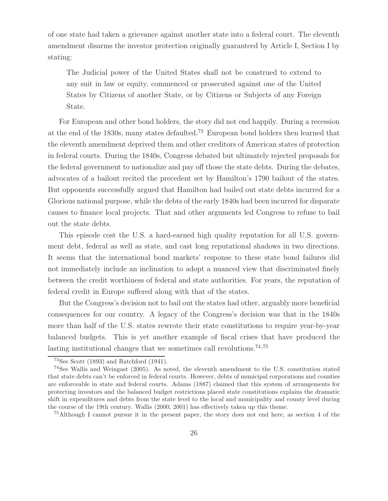of one state had taken a grievance against another state into a federal court. The eleventh amendment disarms the investor protection originally guaranteed by Article I, Section I by stating:

The Judicial power of the United States shall not be construed to extend to any suit in law or equity, commenced or prosecuted against one of the United States by Citizens of another State, or by Citizens or Subjects of any Foreign State.

For European and other bond holders, the story did not end happily. During a recession at the end of the 1830s, many states defaulted.<sup>73</sup> European bond holders then learned that the eleventh amendment deprived them and other creditors of American states of protection in federal courts. During the 1840s, Congress debated but ultimately rejected proposals for the federal government to nationalize and pay off those the state debts. During the debates, advocates of a bailout recited the precedent set by Hamilton's 1790 bailout of the states. But opponents successfully argued that Hamilton had bailed out state debts incurred for a Glorious national purpose, while the debts of the early 1840s had been incurred for disparate causes to finance local projects. That and other arguments led Congress to refuse to bail out the state debts.

This episode cost the U.S. a hard-earned high quality reputation for all U.S. government debt, federal as well as state, and cast long reputational shadows in two directions. It seems that the international bond markets' response to these state bond failures did not immediately include an inclination to adopt a nuanced view that discriminated finely between the credit worthiness of federal and state authorities. For years, the reputation of federal credit in Europe suffered along with that of the states.

But the Congress's decision not to bail out the states had other, arguably more beneficial consequences for our country. A legacy of the Congress's decision was that in the 1840s more than half of the U.S. states rewrote their state constitutions to require year-by-year balanced budgets. This is yet another example of fiscal crises that have produced the lasting institutional changes that we sometimes call revolutions.<sup> $74,75$ </sup>

 $73$ See Scott (1893) and Ratchford (1941).

<sup>74</sup>See Wallis and Weingast (2005). As noted, the eleventh amendment to the U.S. constitution stated that state debts can't be enforced in federal courts. However, debts of municipal corporations and counties are enforceable in state and federal courts. Adams (1887) claimed that this system of arrangements for protecting investors and the balanced budget restrictions placed state constitutions explains the dramatic shift in expenditures and debts from the state level to the local and municipality and county level during the course of the 19th century. Wallis (2000, 2001) has effectively taken up this theme.

<sup>75</sup>Although I cannot pursue it in the present paper, the story does not end here, as section 4 of the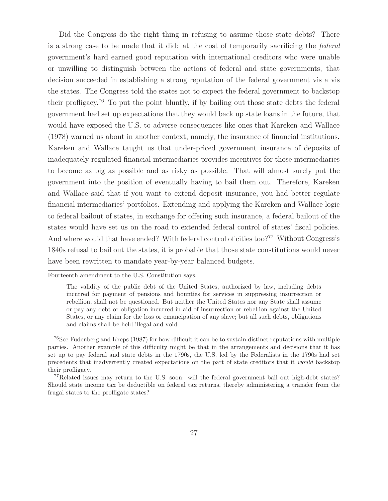Did the Congress do the right thing in refusing to assume those state debts? There is a strong case to be made that it did: at the cost of temporarily sacrificing the federal government's hard earned good reputation with international creditors who were unable or unwilling to distinguish between the actions of federal and state governments, that decision succeeded in establishing a strong reputation of the federal government vis a vis the states. The Congress told the states not to expect the federal government to backstop their profligacy.<sup>76</sup> To put the point bluntly, if by bailing out those state debts the federal government had set up expectations that they would back up state loans in the future, that would have exposed the U.S. to adverse consequences like ones that Kareken and Wallace (1978) warned us about in another context, namely, the insurance of financial institutions. Kareken and Wallace taught us that under-priced government insurance of deposits of inadequately regulated financial intermediaries provides incentives for those intermediaries to become as big as possible and as risky as possible. That will almost surely put the government into the position of eventually having to bail them out. Therefore, Kareken and Wallace said that if you want to extend deposit insurance, you had better regulate financial intermediaries' portfolios. Extending and applying the Kareken and Wallace logic to federal bailout of states, in exchange for offering such insurance, a federal bailout of the states would have set us on the road to extended federal control of states' fiscal policies. And where would that have ended? With federal control of cities too?<sup>77</sup> Without Congress's 1840s refusal to bail out the states, it is probable that those state constitutions would never have been rewritten to mandate year-by-year balanced budgets.

<sup>76</sup>See Fudenberg and Kreps (1987) for how difficult it can be to sustain distinct reputations with multiple parties. Another example of this difficulty might be that in the arrangements and decisions that it has set up to pay federal and state debts in the 1790s, the U.S. led by the Federalists in the 1790s had set precedents that inadvertently created expectations on the part of state creditors that it *would* backstop their profligacy.

<sup>77</sup>Related issues may return to the U.S. soon: will the federal government bail out high-debt states? Should state income tax be deductible on federal tax returns, thereby administering a transfer from the frugal states to the profligate states?

Fourteenth amendment to the U.S. Constitution says.

The validity of the public debt of the United States, authorized by law, including debts incurred for payment of pensions and bounties for services in suppressing insurrection or rebellion, shall not be questioned. But neither the United States nor any State shall assume or pay any debt or obligation incurred in aid of insurrection or rebellion against the United States, or any claim for the loss or emancipation of any slave; but all such debts, obligations and claims shall be held illegal and void.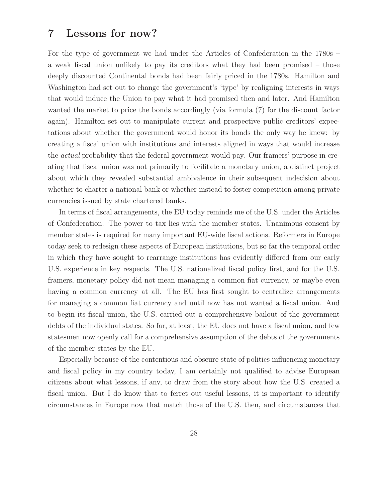# **7 Lessons for now?**

For the type of government we had under the Articles of Confederation in the 1780s – a weak fiscal union unlikely to pay its creditors what they had been promised – those deeply discounted Continental bonds had been fairly priced in the 1780s. Hamilton and Washington had set out to change the government's 'type' by realigning interests in ways that would induce the Union to pay what it had promised then and later. And Hamilton wanted the market to price the bonds accordingly (via formula (7) for the discount factor again). Hamilton set out to manipulate current and prospective public creditors' expectations about whether the government would honor its bonds the only way he knew: by creating a fiscal union with institutions and interests aligned in ways that would increase the actual probability that the federal government would pay. Our framers' purpose in creating that fiscal union was not primarily to facilitate a monetary union, a distinct project about which they revealed substantial ambivalence in their subsequent indecision about whether to charter a national bank or whether instead to foster competition among private currencies issued by state chartered banks.

In terms of fiscal arrangements, the EU today reminds me of the U.S. under the Articles of Confederation. The power to tax lies with the member states. Unanimous consent by member states is required for many important EU-wide fiscal actions. Reformers in Europe today seek to redesign these aspects of European institutions, but so far the temporal order in which they have sought to rearrange institutions has evidently differed from our early U.S. experience in key respects. The U.S. nationalized fiscal policy first, and for the U.S. framers, monetary policy did not mean managing a common fiat currency, or maybe even having a common currency at all. The EU has first sought to centralize arrangements for managing a common fiat currency and until now has not wanted a fiscal union. And to begin its fiscal union, the U.S. carried out a comprehensive bailout of the government debts of the individual states. So far, at least, the EU does not have a fiscal union, and few statesmen now openly call for a comprehensive assumption of the debts of the governments of the member states by the EU.

Especially because of the contentious and obscure state of politics influencing monetary and fiscal policy in my country today, I am certainly not qualified to advise European citizens about what lessons, if any, to draw from the story about how the U.S. created a fiscal union. But I do know that to ferret out useful lessons, it is important to identify circumstances in Europe now that match those of the U.S. then, and circumstances that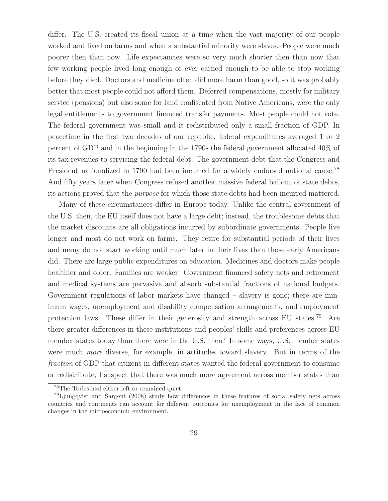differ. The U.S. created its fiscal union at a time when the vast majority of our people worked and lived on farms and when a substantial minority were slaves. People were much poorer then than now. Life expectancies were so very much shorter then than now that few working people lived long enough or ever earned enough to be able to stop working before they died. Doctors and medicine often did more harm than good, so it was probably better that most people could not afford them. Deferred compensations, mostly for military service (pensions) but also some for land confiscated from Native Americans, were the only legal entitlements to government financed transfer payments. Most people could not vote. The federal government was small and it redistributed only a small fraction of GDP. In peacetime in the first two decades of our republic, federal expenditures averaged 1 or 2 percent of GDP and in the beginning in the 1790s the federal government allocated 40% of its tax revenues to servicing the federal debt. The government debt that the Congress and President nationalized in 1790 had been incurred for a widely endorsed national cause.<sup>78</sup> And fifty years later when Congress refused another massive federal bailout of state debts, its actions proved that the purpose for which those state debts had been incurred mattered.

Many of these circumstances differ in Europe today. Unlike the central government of the U.S. then, the EU itself does not have a large debt; instead, the troublesome debts that the market discounts are all obligations incurred by subordinate governments. People live longer and most do not work on farms. They retire for substantial periods of their lives and many do not start working until much later in their lives than those early Americans did. There are large public expenditures on education. Medicines and doctors make people healthier and older. Families are weaker. Government financed safety nets and retirement and medical systems are pervasive and absorb substantial fractions of national budgets. Government regulations of labor markets have changed – slavery is gone; there are minimum wages, unemployment and disability compensation arrangements, and employment protection laws. These differ in their generosity and strength across EU states.<sup>79</sup> Are there greater differences in these institutions and peoples' skills and preferences across EU member states today than there were in the U.S. then? In some ways, U.S. member states were much more diverse, for example, in attitudes toward slavery. But in terms of the fraction of GDP that citizens in different states wanted the federal government to consume or redistribute, I suspect that there was much more agreement across member states than

<sup>78</sup>The Tories had either left or remained quiet.

<sup>79</sup>Ljungqvist and Sargent (2008) study how differences in these features of social safety nets across countries and continents can account for different outcomes for unemployment in the face of common changes in the microeconomic environment.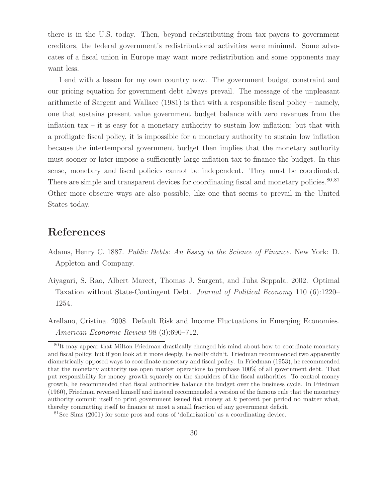there is in the U.S. today. Then, beyond redistributing from tax payers to government creditors, the federal government's redistributional activities were minimal. Some advocates of a fiscal union in Europe may want more redistribution and some opponents may want less.

I end with a lesson for my own country now. The government budget constraint and our pricing equation for government debt always prevail. The message of the unpleasant arithmetic of Sargent and Wallace (1981) is that with a responsible fiscal policy – namely, one that sustains present value government budget balance with zero revenues from the inflation tax – it is easy for a monetary authority to sustain low inflation; but that with a profligate fiscal policy, it is impossible for a monetary authority to sustain low inflation because the intertemporal government budget then implies that the monetary authority must sooner or later impose a sufficiently large inflation tax to finance the budget. In this sense, monetary and fiscal policies cannot be independent. They must be coordinated. There are simple and transparent devices for coordinating fiscal and monetary policies.<sup>80,81</sup> Other more obscure ways are also possible, like one that seems to prevail in the United States today.

## **References**

- Adams, Henry C. 1887. Public Debts: An Essay in the Science of Finance. New York: D. Appleton and Company.
- Aiyagari, S. Rao, Albert Marcet, Thomas J. Sargent, and Juha Seppala. 2002. Optimal Taxation without State-Contingent Debt. Journal of Political Economy 110 (6):1220– 1254.
- Arellano, Cristina. 2008. Default Risk and Income Fluctuations in Emerging Economies. American Economic Review 98 (3):690–712.

<sup>&</sup>lt;sup>80</sup>It may appear that Milton Friedman drastically changed his mind about how to coordinate monetary and fiscal policy, but if you look at it more deeply, he really didn't. Friedman recommended two apparently diametrically opposed ways to coordinate monetary and fiscal policy. In Friedman (1953), he recommended that the monetary authority use open market operations to purchase 100% of all government debt. That put responsibility for money growth squarely on the shoulders of the fiscal authorities. To control money growth, he recommended that fiscal authorities balance the budget over the business cycle. In Friedman (1960), Friedman reversed himself and instead recommended a version of the famous rule that the monetary authority commit itself to print government issued fiat money at  $k$  percent per period no matter what, thereby committing itself to finance at most a small fraction of any government deficit.

<sup>81</sup>See Sims (2001) for some pros and cons of 'dollarization' as a coordinating device.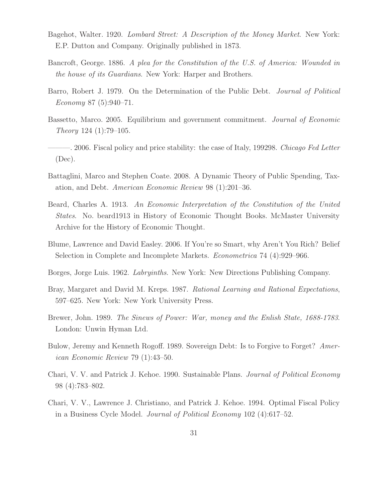- Bagehot, Walter. 1920. Lombard Street: A Description of the Money Market. New York: E.P. Dutton and Company. Originally published in 1873.
- Bancroft, George. 1886. A plea for the Constitution of the U.S. of America: Wounded in the house of its Guardians. New York: Harper and Brothers.
- Barro, Robert J. 1979. On the Determination of the Public Debt. Journal of Political Economy 87 (5):940–71.
- Bassetto, Marco. 2005. Equilibrium and government commitment. Journal of Economic Theory 124 (1):79–105.
- 2006. Fiscal policy and price stability: the case of Italy, 199298. Chicago Fed Letter (Dec).
- Battaglini, Marco and Stephen Coate. 2008. A Dynamic Theory of Public Spending, Taxation, and Debt. American Economic Review 98 (1):201–36.
- Beard, Charles A. 1913. An Economic Interpretation of the Constitution of the United States. No. beard1913 in History of Economic Thought Books. McMaster University Archive for the History of Economic Thought.
- Blume, Lawrence and David Easley. 2006. If You're so Smart, why Aren't You Rich? Belief Selection in Complete and Incomplete Markets. Econometrica 74 (4):929–966.
- Borges, Jorge Luis. 1962. Labryinths. New York: New Directions Publishing Company.
- Bray, Margaret and David M. Kreps. 1987. Rational Learning and Rational Expectations, 597–625. New York: New York University Press.
- Brewer, John. 1989. The Sinews of Power: War, money and the Enlish State, 1688-1783. London: Unwin Hyman Ltd.
- Bulow, Jeremy and Kenneth Rogoff. 1989. Sovereign Debt: Is to Forgive to Forget? American Economic Review 79 (1):43–50.
- Chari, V. V. and Patrick J. Kehoe. 1990. Sustainable Plans. Journal of Political Economy 98 (4):783–802.
- Chari, V. V., Lawrence J. Christiano, and Patrick J. Kehoe. 1994. Optimal Fiscal Policy in a Business Cycle Model. Journal of Political Economy 102 (4):617–52.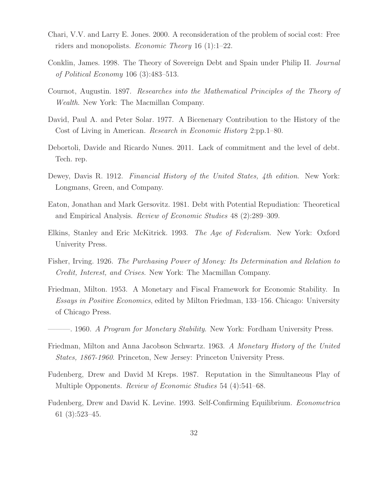- Chari, V.V. and Larry E. Jones. 2000. A reconsideration of the problem of social cost: Free riders and monopolists. Economic Theory 16 (1):1–22.
- Conklin, James. 1998. The Theory of Sovereign Debt and Spain under Philip II. Journal of Political Economy 106 (3):483–513.
- Cournot, Augustin. 1897. Researches into the Mathematical Principles of the Theory of Wealth. New York: The Macmillan Company.
- David, Paul A. and Peter Solar. 1977. A Bicenenary Contribution to the History of the Cost of Living in American. Research in Economic History 2:pp.1–80.
- Debortoli, Davide and Ricardo Nunes. 2011. Lack of commitment and the level of debt. Tech. rep.
- Dewey, Davis R. 1912. Financial History of the United States, 4th edition. New York: Longmans, Green, and Company.
- Eaton, Jonathan and Mark Gersovitz. 1981. Debt with Potential Repudiation: Theoretical and Empirical Analysis. Review of Economic Studies 48 (2):289–309.
- Elkins, Stanley and Eric McKitrick. 1993. The Age of Federalism. New York: Oxford Univerity Press.
- Fisher, Irving. 1926. The Purchasing Power of Money: Its Determination and Relation to Credit, Interest, and Crises. New York: The Macmillan Company.
- Friedman, Milton. 1953. A Monetary and Fiscal Framework for Economic Stability. In Essays in Positive Economics, edited by Milton Friedman, 133–156. Chicago: University of Chicago Press.
- –. 1960. A Program for Monetary Stability. New York: Fordham University Press.
- Friedman, Milton and Anna Jacobson Schwartz. 1963. A Monetary History of the United States, 1867-1960. Princeton, New Jersey: Princeton University Press.
- Fudenberg, Drew and David M Kreps. 1987. Reputation in the Simultaneous Play of Multiple Opponents. Review of Economic Studies 54 (4):541–68.
- Fudenberg, Drew and David K. Levine. 1993. Self-Confirming Equilibrium. Econometrica 61 (3):523–45.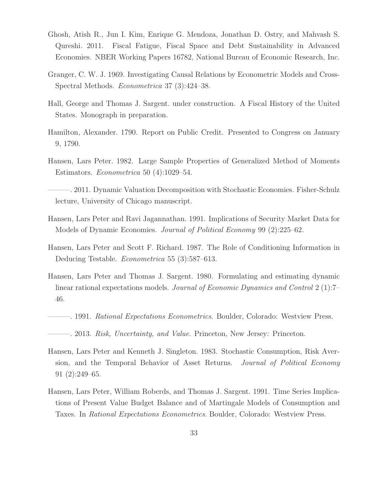- Ghosh, Atish R., Jun I. Kim, Enrique G. Mendoza, Jonathan D. Ostry, and Mahvash S. Qureshi. 2011. Fiscal Fatigue, Fiscal Space and Debt Sustainability in Advanced Economies. NBER Working Papers 16782, National Bureau of Economic Research, Inc.
- Granger, C. W. J. 1969. Investigating Causal Relations by Econometric Models and Cross-Spectral Methods. Econometrica 37 (3):424–38.
- Hall, George and Thomas J. Sargent. under construction. A Fiscal History of the United States. Monograph in preparation.
- Hamilton, Alexander. 1790. Report on Public Credit. Presented to Congress on January 9, 1790.
- Hansen, Lars Peter. 1982. Large Sample Properties of Generalized Method of Moments Estimators. Econometrica 50 (4):1029–54.

———. 2011. Dynamic Valuation Decomposition with Stochastic Economies. Fisher-Schulz lecture, University of Chicago manuscript.

- Hansen, Lars Peter and Ravi Jagannathan. 1991. Implications of Security Market Data for Models of Dynamic Economies. *Journal of Political Economy* 99 (2):225–62.
- Hansen, Lars Peter and Scott F. Richard. 1987. The Role of Conditioning Information in Deducing Testable. Econometrica 55 (3):587–613.
- Hansen, Lars Peter and Thomas J. Sargent. 1980. Formulating and estimating dynamic linear rational expectations models. Journal of Economic Dynamics and Control 2 (1):7– 46.
- $-$ . 1991. Rational Expectations Econometrics. Boulder, Colorado: Westview Press.
- ———. 2013. Risk, Uncertainty, and Value. Princeton, New Jersey: Princeton.
- Hansen, Lars Peter and Kenneth J. Singleton. 1983. Stochastic Consumption, Risk Aversion, and the Temporal Behavior of Asset Returns. Journal of Political Economy 91 (2):249–65.
- Hansen, Lars Peter, William Roberds, and Thomas J. Sargent. 1991. Time Series Implications of Present Value Budget Balance and of Martingale Models of Consumption and Taxes. In Rational Expectations Econometrics. Boulder, Colorado: Westview Press.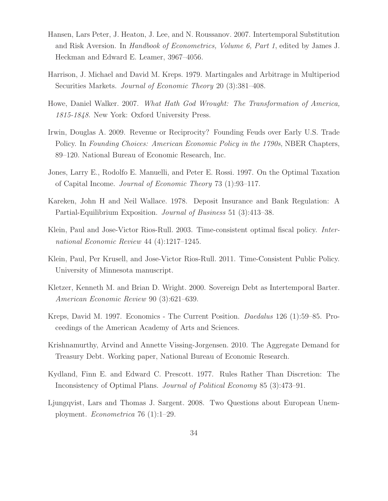- Hansen, Lars Peter, J. Heaton, J. Lee, and N. Roussanov. 2007. Intertemporal Substitution and Risk Aversion. In Handbook of Econometrics, Volume 6, Part 1, edited by James J. Heckman and Edward E. Leamer, 3967–4056.
- Harrison, J. Michael and David M. Kreps. 1979. Martingales and Arbitrage in Multiperiod Securities Markets. Journal of Economic Theory 20 (3):381–408.
- Howe, Daniel Walker. 2007. What Hath God Wrought: The Transformation of America, 1815-1848. New York: Oxford University Press.
- Irwin, Douglas A. 2009. Revenue or Reciprocity? Founding Feuds over Early U.S. Trade Policy. In Founding Choices: American Economic Policy in the 1790s, NBER Chapters, 89–120. National Bureau of Economic Research, Inc.
- Jones, Larry E., Rodolfo E. Manuelli, and Peter E. Rossi. 1997. On the Optimal Taxation of Capital Income. Journal of Economic Theory 73 (1):93–117.
- Kareken, John H and Neil Wallace. 1978. Deposit Insurance and Bank Regulation: A Partial-Equilibrium Exposition. Journal of Business 51 (3):413–38.
- Klein, Paul and Jose-Victor Rios-Rull. 2003. Time-consistent optimal fiscal policy. International Economic Review 44 (4):1217–1245.
- Klein, Paul, Per Krusell, and Jose-Victor Rios-Rull. 2011. Time-Consistent Public Policy. University of Minnesota manuscript.
- Kletzer, Kenneth M. and Brian D. Wright. 2000. Sovereign Debt as Intertemporal Barter. American Economic Review 90 (3):621–639.
- Kreps, David M. 1997. Economics The Current Position. Daedalus 126 (1):59–85. Proceedings of the American Academy of Arts and Sciences.
- Krishnamurthy, Arvind and Annette Vissing-Jorgensen. 2010. The Aggregate Demand for Treasury Debt. Working paper, National Bureau of Economic Research.
- Kydland, Finn E. and Edward C. Prescott. 1977. Rules Rather Than Discretion: The Inconsistency of Optimal Plans. Journal of Political Economy 85 (3):473–91.
- Ljungqvist, Lars and Thomas J. Sargent. 2008. Two Questions about European Unemployment. Econometrica 76 (1):1–29.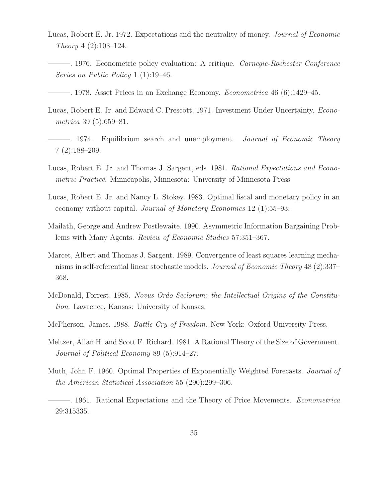- Lucas, Robert E. Jr. 1972. Expectations and the neutrality of money. Journal of Economic Theory 4 (2):103–124.
- ———. 1976. Econometric policy evaluation: A critique. Carnegie-Rochester Conference Series on Public Policy 1 (1):19–46.
- $-$ . 1978. Asset Prices in an Exchange Economy. *Econometrica* 46 (6):1429–45.
- Lucas, Robert E. Jr. and Edward C. Prescott. 1971. Investment Under Uncertainty. Econometrica 39 (5):659–81.
- $-$ . 1974. Equilibrium search and unemployment. *Journal of Economic Theory* 7 (2):188–209.
- Lucas, Robert E. Jr. and Thomas J. Sargent, eds. 1981. Rational Expectations and Econometric Practice. Minneapolis, Minnesota: University of Minnesota Press.
- Lucas, Robert E. Jr. and Nancy L. Stokey. 1983. Optimal fiscal and monetary policy in an economy without capital. Journal of Monetary Economics 12 (1):55–93.
- Mailath, George and Andrew Postlewaite. 1990. Asymmetric Information Bargaining Problems with Many Agents. Review of Economic Studies 57:351–367.
- Marcet, Albert and Thomas J. Sargent. 1989. Convergence of least squares learning mechanisms in self-referential linear stochastic models. Journal of Economic Theory 48 (2):337– 368.
- McDonald, Forrest. 1985. Novus Ordo Seclorum: the Intellectual Origins of the Constitution. Lawrence, Kansas: University of Kansas.
- McPherson, James. 1988. *Battle Cry of Freedom*. New York: Oxford University Press.
- Meltzer, Allan H. and Scott F. Richard. 1981. A Rational Theory of the Size of Government. Journal of Political Economy 89 (5):914–27.
- Muth, John F. 1960. Optimal Properties of Exponentially Weighted Forecasts. *Journal of* the American Statistical Association 55 (290):299–306.

———. 1961. Rational Expectations and the Theory of Price Movements. Econometrica 29:315335.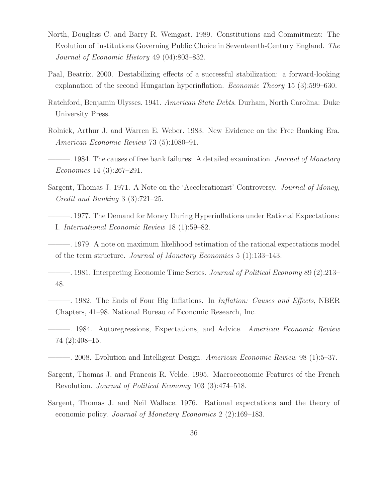- North, Douglass C. and Barry R. Weingast. 1989. Constitutions and Commitment: The Evolution of Institutions Governing Public Choice in Seventeenth-Century England. The Journal of Economic History 49 (04):803–832.
- Paal, Beatrix. 2000. Destabilizing effects of a successful stabilization: a forward-looking explanation of the second Hungarian hyperinflation. Economic Theory 15 (3):599–630.
- Ratchford, Benjamin Ulysses. 1941. American State Debts. Durham, North Carolina: Duke University Press.
- Rolnick, Arthur J. and Warren E. Weber. 1983. New Evidence on the Free Banking Era. American Economic Review 73 (5):1080–91.
- $-$ . 1984. The causes of free bank failures: A detailed examination. *Journal of Monetary* Economics 14 (3):267–291.
- Sargent, Thomas J. 1971. A Note on the 'Accelerationist' Controversy. Journal of Money, Credit and Banking 3 (3):721–25.
- ———. 1977. The Demand for Money During Hyperinflations under Rational Expectations: I. International Economic Review 18 (1):59–82.

———. 1979. A note on maximum likelihood estimation of the rational expectations model of the term structure. Journal of Monetary Economics 5 (1):133–143.

—. 1981. Interpreting Economic Time Series. *Journal of Political Economy* 89 (2):213– 48.

—. 1982. The Ends of Four Big Inflations. In *Inflation: Causes and Effects*, NBER Chapters, 41–98. National Bureau of Economic Research, Inc.

———. 1984. Autoregressions, Expectations, and Advice. American Economic Review 74 (2):408–15.

- $-$ . 2008. Evolution and Intelligent Design. American Economic Review 98 (1):5–37.
- Sargent, Thomas J. and Francois R. Velde. 1995. Macroeconomic Features of the French Revolution. Journal of Political Economy 103 (3):474–518.
- Sargent, Thomas J. and Neil Wallace. 1976. Rational expectations and the theory of economic policy. Journal of Monetary Economics 2 (2):169–183.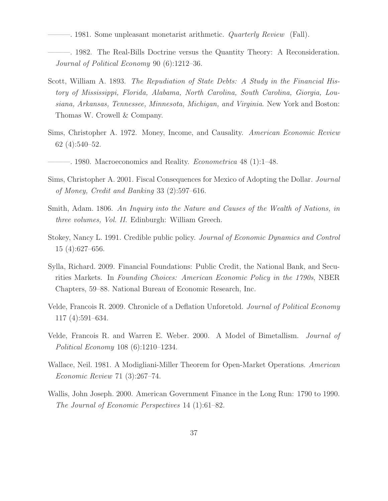———. 1981. Some unpleasant monetarist arithmetic. *Quarterly Review* (Fall).

- ———. 1982. The Real-Bills Doctrine versus the Quantity Theory: A Reconsideration. Journal of Political Economy 90 (6):1212–36.
- Scott, William A. 1893. The Repudiation of State Debts: A Study in the Financial History of Mississippi, Florida, Alabama, North Carolina, South Carolina, Giorgia, Lousiana, Arkansas, Tennessee, Minnesota, Michigan, and Virginia. New York and Boston: Thomas W. Crowell & Company.
- Sims, Christopher A. 1972. Money, Income, and Causality. American Economic Review 62 (4):540–52.
- $-$ , 1980. Macroeconomics and Reality. *Econometrica* 48 (1):1–48.
- Sims, Christopher A. 2001. Fiscal Consequences for Mexico of Adopting the Dollar. Journal of Money, Credit and Banking 33 (2):597–616.
- Smith, Adam. 1806. An Inquiry into the Nature and Causes of the Wealth of Nations, in three volumes, Vol. II. Edinburgh: William Greech.
- Stokey, Nancy L. 1991. Credible public policy. Journal of Economic Dynamics and Control 15 (4):627–656.
- Sylla, Richard. 2009. Financial Foundations: Public Credit, the National Bank, and Securities Markets. In Founding Choices: American Economic Policy in the 1790s, NBER Chapters, 59–88. National Bureau of Economic Research, Inc.
- Velde, Francois R. 2009. Chronicle of a Deflation Unforetold. Journal of Political Economy 117 (4):591–634.
- Velde, Francois R. and Warren E. Weber. 2000. A Model of Bimetallism. Journal of Political Economy 108 (6):1210–1234.
- Wallace, Neil. 1981. A Modigliani-Miller Theorem for Open-Market Operations. American Economic Review 71 (3):267–74.
- Wallis, John Joseph. 2000. American Government Finance in the Long Run: 1790 to 1990. The Journal of Economic Perspectives 14 (1):61–82.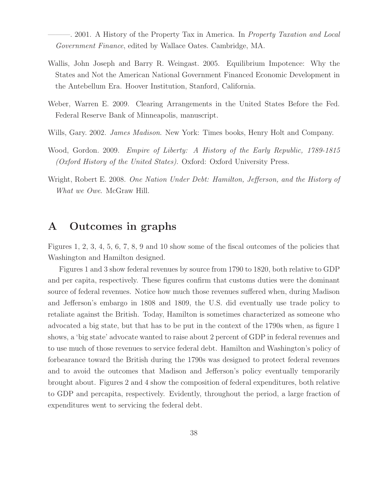–. 2001. A History of the Property Tax in America. In Property Taxation and Local Government Finance, edited by Wallace Oates. Cambridge, MA.

- Wallis, John Joseph and Barry R. Weingast. 2005. Equilibrium Impotence: Why the States and Not the American National Government Financed Economic Development in the Antebellum Era. Hoover Institution, Stanford, California.
- Weber, Warren E. 2009. Clearing Arrangements in the United States Before the Fed. Federal Reserve Bank of Minneapolis, manuscript.
- Wills, Gary. 2002. *James Madison*. New York: Times books, Henry Holt and Company.
- Wood, Gordon. 2009. Empire of Liberty: A History of the Early Republic, 1789-1815 (Oxford History of the United States). Oxford: Oxford University Press.
- Wright, Robert E. 2008. One Nation Under Debt: Hamilton, Jefferson, and the History of What we Owe. McGraw Hill.

### **A Outcomes in graphs**

Figures 1, 2, 3, 4, 5, 6, 7, 8, 9 and 10 show some of the fiscal outcomes of the policies that Washington and Hamilton designed.

Figures 1 and 3 show federal revenues by source from 1790 to 1820, both relative to GDP and per capita, respectively. These figures confirm that customs duties were the dominant source of federal revenues. Notice how much those revenues suffered when, during Madison and Jefferson's embargo in 1808 and 1809, the U.S. did eventually use trade policy to retaliate against the British. Today, Hamilton is sometimes characterized as someone who advocated a big state, but that has to be put in the context of the 1790s when, as figure 1 shows, a 'big state' advocate wanted to raise about 2 percent of GDP in federal revenues and to use much of those revenues to service federal debt. Hamilton and Washington's policy of forbearance toward the British during the 1790s was designed to protect federal revenues and to avoid the outcomes that Madison and Jefferson's policy eventually temporarily brought about. Figures 2 and 4 show the composition of federal expenditures, both relative to GDP and percapita, respectively. Evidently, throughout the period, a large fraction of expenditures went to servicing the federal debt.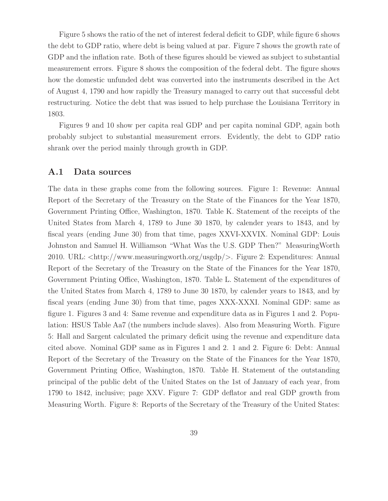Figure 5 shows the ratio of the net of interest federal deficit to GDP, while figure 6 shows the debt to GDP ratio, where debt is being valued at par. Figure 7 shows the growth rate of GDP and the inflation rate. Both of these figures should be viewed as subject to substantial measurement errors. Figure 8 shows the composition of the federal debt. The figure shows how the domestic unfunded debt was converted into the instruments described in the Act of August 4, 1790 and how rapidly the Treasury managed to carry out that successful debt restructuring. Notice the debt that was issued to help purchase the Louisiana Territory in 1803.

Figures 9 and 10 show per capita real GDP and per capita nominal GDP, again both probably subject to substantial measurement errors. Evidently, the debt to GDP ratio shrank over the period mainly through growth in GDP.

#### **A.1 Data sources**

The data in these graphs come from the following sources. Figure 1: Revenue: Annual Report of the Secretary of the Treasury on the State of the Finances for the Year 1870, Government Printing Office, Washington, 1870. Table K. Statement of the receipts of the United States from March 4, 1789 to June 30 1870, by calender years to 1843, and by fiscal years (ending June 30) from that time, pages XXVI-XXVIX. Nominal GDP: Louis Johnston and Samuel H. Williamson "What Was the U.S. GDP Then?" MeasuringWorth 2010. URL: <http://www.measuringworth.org/usgdp/>. Figure 2: Expenditures: Annual Report of the Secretary of the Treasury on the State of the Finances for the Year 1870, Government Printing Office, Washington, 1870. Table L. Statement of the expenditures of the United States from March 4, 1789 to June 30 1870, by calender years to 1843, and by fiscal years (ending June 30) from that time, pages XXX-XXXI. Nominal GDP: same as figure 1. Figures 3 and 4: Same revenue and expenditure data as in Figures 1 and 2. Population: HSUS Table Aa7 (the numbers include slaves). Also from Measuring Worth. Figure 5: Hall and Sargent calculated the primary deficit using the revenue and expenditure data cited above. Nominal GDP same as in Figures 1 and 2. 1 and 2. Figure 6: Debt: Annual Report of the Secretary of the Treasury on the State of the Finances for the Year 1870, Government Printing Office, Washington, 1870. Table H. Statement of the outstanding principal of the public debt of the United States on the 1st of January of each year, from 1790 to 1842, inclusive; page XXV. Figure 7: GDP deflator and real GDP growth from Measuring Worth. Figure 8: Reports of the Secretary of the Treasury of the United States: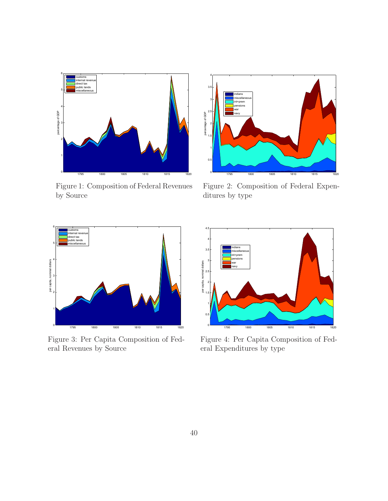

Figure 1: Composition of Federal Revenues by Source



Figure 2: Composition of Federal Expenditures by type



Figure 3: Per Capita Composition of Federal Revenues by Source



Figure 4: Per Capita Composition of Federal Expenditures by type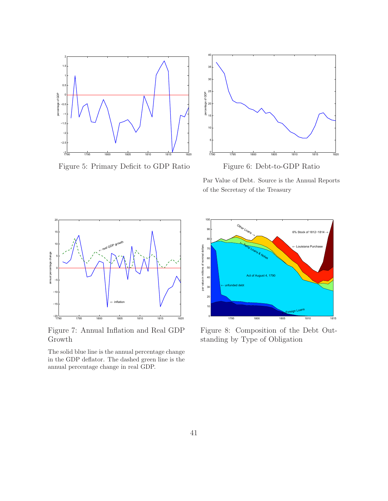

Figure 5: Primary Deficit to GDP Ratio



Figure 6: Debt-to-GDP Ratio

Par Value of Debt. Source is the Annual Reports of the Secretary of the Treasury



Figure 7: Annual Inflation and Real GDP Growth

The solid blue line is the annual percentage change in the GDP deflator. The dashed green line is the annual percentage change in real GDP.



Figure 8: Composition of the Debt Outstanding by Type of Obligation